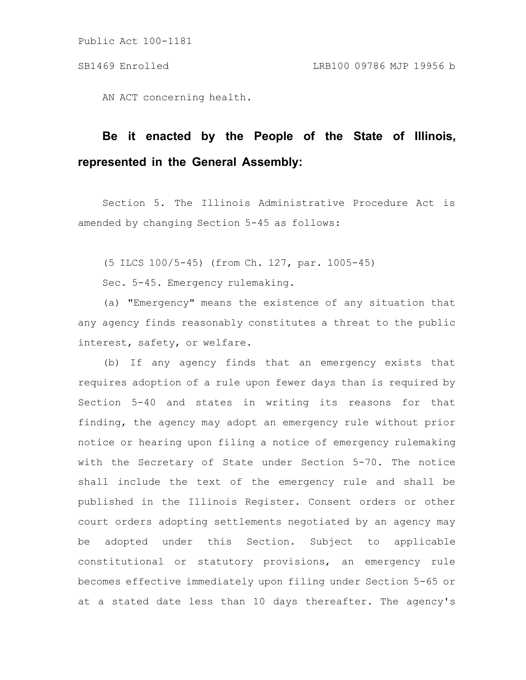AN ACT concerning health.

# **Be it enacted by the People of the State of Illinois, represented in the General Assembly:**

Section 5. The Illinois Administrative Procedure Act is amended by changing Section 5-45 as follows:

(5 ILCS 100/5-45) (from Ch. 127, par. 1005-45)

Sec. 5-45. Emergency rulemaking.

(a) "Emergency" means the existence of any situation that any agency finds reasonably constitutes a threat to the public interest, safety, or welfare.

(b) If any agency finds that an emergency exists that requires adoption of a rule upon fewer days than is required by Section 5-40 and states in writing its reasons for that finding, the agency may adopt an emergency rule without prior notice or hearing upon filing a notice of emergency rulemaking with the Secretary of State under Section 5-70. The notice shall include the text of the emergency rule and shall be published in the Illinois Register. Consent orders or other court orders adopting settlements negotiated by an agency may be adopted under this Section. Subject to applicable constitutional or statutory provisions, an emergency rule becomes effective immediately upon filing under Section 5-65 or at a stated date less than 10 days thereafter. The agency's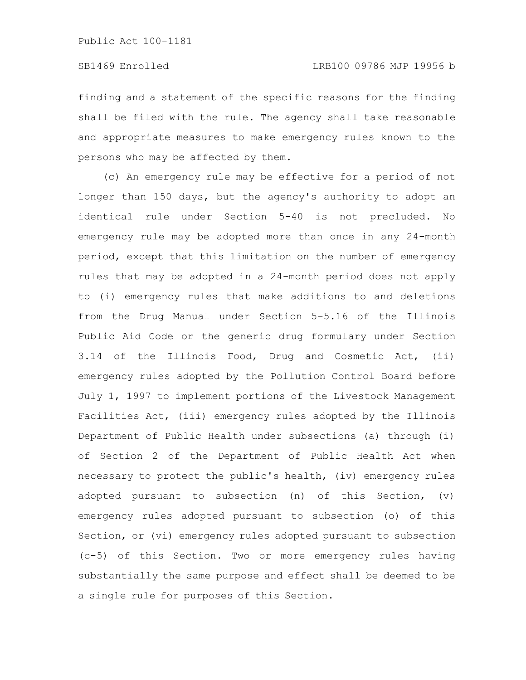finding and a statement of the specific reasons for the finding shall be filed with the rule. The agency shall take reasonable and appropriate measures to make emergency rules known to the persons who may be affected by them.

(c) An emergency rule may be effective for a period of not longer than 150 days, but the agency's authority to adopt an identical rule under Section 5-40 is not precluded. No emergency rule may be adopted more than once in any 24-month period, except that this limitation on the number of emergency rules that may be adopted in a 24-month period does not apply to (i) emergency rules that make additions to and deletions from the Drug Manual under Section 5-5.16 of the Illinois Public Aid Code or the generic drug formulary under Section 3.14 of the Illinois Food, Drug and Cosmetic Act, (ii) emergency rules adopted by the Pollution Control Board before July 1, 1997 to implement portions of the Livestock Management Facilities Act, (iii) emergency rules adopted by the Illinois Department of Public Health under subsections (a) through (i) of Section 2 of the Department of Public Health Act when necessary to protect the public's health, (iv) emergency rules adopted pursuant to subsection (n) of this Section, (v) emergency rules adopted pursuant to subsection (o) of this Section, or (vi) emergency rules adopted pursuant to subsection (c-5) of this Section. Two or more emergency rules having substantially the same purpose and effect shall be deemed to be a single rule for purposes of this Section.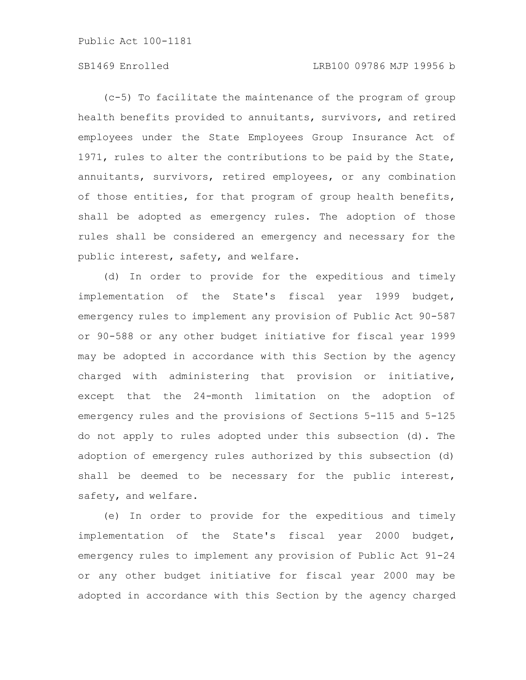# SB1469 Enrolled LRB100 09786 MJP 19956 b

(c-5) To facilitate the maintenance of the program of group health benefits provided to annuitants, survivors, and retired employees under the State Employees Group Insurance Act of 1971, rules to alter the contributions to be paid by the State, annuitants, survivors, retired employees, or any combination of those entities, for that program of group health benefits, shall be adopted as emergency rules. The adoption of those rules shall be considered an emergency and necessary for the public interest, safety, and welfare.

(d) In order to provide for the expeditious and timely implementation of the State's fiscal year 1999 budget, emergency rules to implement any provision of Public Act 90-587 or 90-588 or any other budget initiative for fiscal year 1999 may be adopted in accordance with this Section by the agency charged with administering that provision or initiative, except that the 24-month limitation on the adoption of emergency rules and the provisions of Sections 5-115 and 5-125 do not apply to rules adopted under this subsection (d). The adoption of emergency rules authorized by this subsection (d) shall be deemed to be necessary for the public interest, safety, and welfare.

(e) In order to provide for the expeditious and timely implementation of the State's fiscal year 2000 budget, emergency rules to implement any provision of Public Act 91-24 or any other budget initiative for fiscal year 2000 may be adopted in accordance with this Section by the agency charged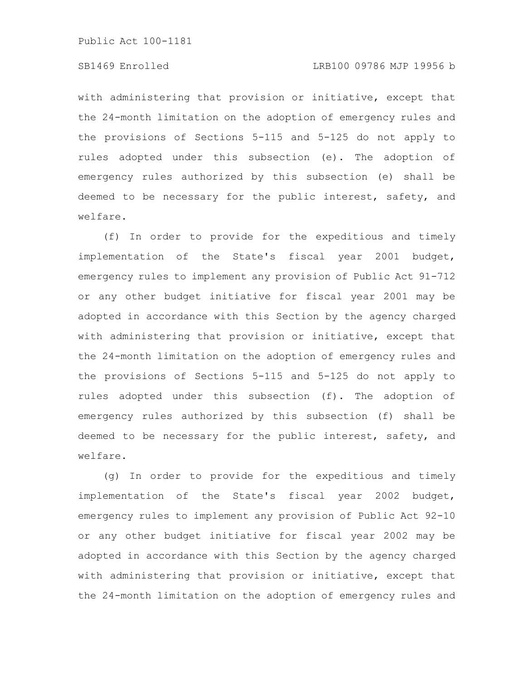with administering that provision or initiative, except that the 24-month limitation on the adoption of emergency rules and the provisions of Sections 5-115 and 5-125 do not apply to rules adopted under this subsection (e). The adoption of emergency rules authorized by this subsection (e) shall be deemed to be necessary for the public interest, safety, and welfare.

(f) In order to provide for the expeditious and timely implementation of the State's fiscal year 2001 budget, emergency rules to implement any provision of Public Act 91-712 or any other budget initiative for fiscal year 2001 may be adopted in accordance with this Section by the agency charged with administering that provision or initiative, except that the 24-month limitation on the adoption of emergency rules and the provisions of Sections 5-115 and 5-125 do not apply to rules adopted under this subsection (f). The adoption of emergency rules authorized by this subsection (f) shall be deemed to be necessary for the public interest, safety, and welfare.

(g) In order to provide for the expeditious and timely implementation of the State's fiscal year 2002 budget, emergency rules to implement any provision of Public Act 92-10 or any other budget initiative for fiscal year 2002 may be adopted in accordance with this Section by the agency charged with administering that provision or initiative, except that the 24-month limitation on the adoption of emergency rules and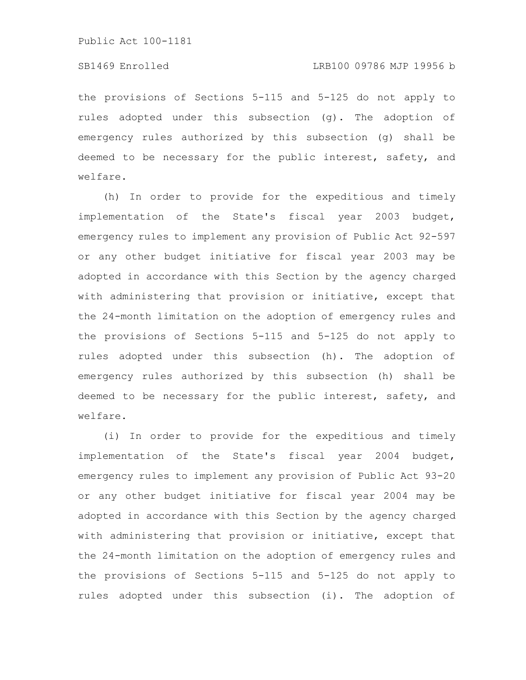the provisions of Sections 5-115 and 5-125 do not apply to rules adopted under this subsection (g). The adoption of emergency rules authorized by this subsection (g) shall be deemed to be necessary for the public interest, safety, and welfare.

(h) In order to provide for the expeditious and timely implementation of the State's fiscal year 2003 budget, emergency rules to implement any provision of Public Act 92-597 or any other budget initiative for fiscal year 2003 may be adopted in accordance with this Section by the agency charged with administering that provision or initiative, except that the 24-month limitation on the adoption of emergency rules and the provisions of Sections 5-115 and 5-125 do not apply to rules adopted under this subsection (h). The adoption of emergency rules authorized by this subsection (h) shall be deemed to be necessary for the public interest, safety, and welfare.

(i) In order to provide for the expeditious and timely implementation of the State's fiscal year 2004 budget, emergency rules to implement any provision of Public Act 93-20 or any other budget initiative for fiscal year 2004 may be adopted in accordance with this Section by the agency charged with administering that provision or initiative, except that the 24-month limitation on the adoption of emergency rules and the provisions of Sections 5-115 and 5-125 do not apply to rules adopted under this subsection (i). The adoption of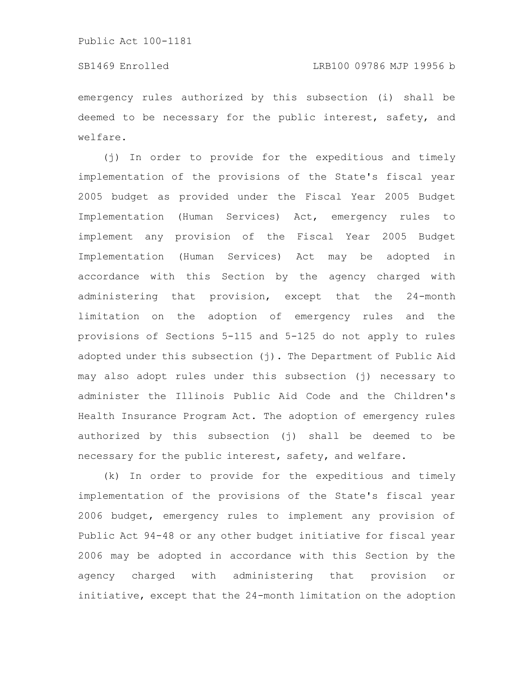emergency rules authorized by this subsection (i) shall be deemed to be necessary for the public interest, safety, and welfare.

(j) In order to provide for the expeditious and timely implementation of the provisions of the State's fiscal year 2005 budget as provided under the Fiscal Year 2005 Budget Implementation (Human Services) Act, emergency rules to implement any provision of the Fiscal Year 2005 Budget Implementation (Human Services) Act may be adopted in accordance with this Section by the agency charged with administering that provision, except that the 24-month limitation on the adoption of emergency rules and the provisions of Sections 5-115 and 5-125 do not apply to rules adopted under this subsection  $(j)$ . The Department of Public Aid may also adopt rules under this subsection (j) necessary to administer the Illinois Public Aid Code and the Children's Health Insurance Program Act. The adoption of emergency rules authorized by this subsection (j) shall be deemed to be necessary for the public interest, safety, and welfare.

(k) In order to provide for the expeditious and timely implementation of the provisions of the State's fiscal year 2006 budget, emergency rules to implement any provision of Public Act 94-48 or any other budget initiative for fiscal year 2006 may be adopted in accordance with this Section by the agency charged with administering that provision or initiative, except that the 24-month limitation on the adoption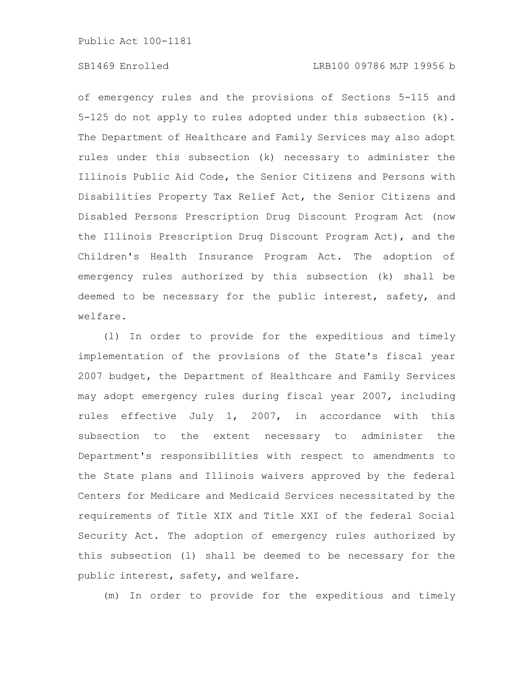# SB1469 Enrolled LRB100 09786 MJP 19956 b

of emergency rules and the provisions of Sections 5-115 and 5-125 do not apply to rules adopted under this subsection (k). The Department of Healthcare and Family Services may also adopt rules under this subsection (k) necessary to administer the Illinois Public Aid Code, the Senior Citizens and Persons with Disabilities Property Tax Relief Act, the Senior Citizens and Disabled Persons Prescription Drug Discount Program Act (now the Illinois Prescription Drug Discount Program Act), and the Children's Health Insurance Program Act. The adoption of emergency rules authorized by this subsection (k) shall be deemed to be necessary for the public interest, safety, and welfare.

(l) In order to provide for the expeditious and timely implementation of the provisions of the State's fiscal year 2007 budget, the Department of Healthcare and Family Services may adopt emergency rules during fiscal year 2007, including rules effective July 1, 2007, in accordance with this subsection to the extent necessary to administer the Department's responsibilities with respect to amendments to the State plans and Illinois waivers approved by the federal Centers for Medicare and Medicaid Services necessitated by the requirements of Title XIX and Title XXI of the federal Social Security Act. The adoption of emergency rules authorized by this subsection (l) shall be deemed to be necessary for the public interest, safety, and welfare.

(m) In order to provide for the expeditious and timely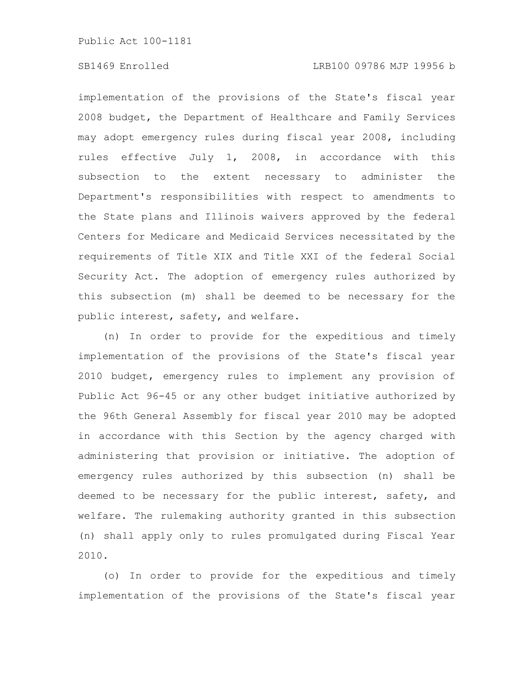# SB1469 Enrolled LRB100 09786 MJP 19956 b

implementation of the provisions of the State's fiscal year 2008 budget, the Department of Healthcare and Family Services may adopt emergency rules during fiscal year 2008, including rules effective July 1, 2008, in accordance with this subsection to the extent necessary to administer the Department's responsibilities with respect to amendments to the State plans and Illinois waivers approved by the federal Centers for Medicare and Medicaid Services necessitated by the requirements of Title XIX and Title XXI of the federal Social Security Act. The adoption of emergency rules authorized by this subsection (m) shall be deemed to be necessary for the public interest, safety, and welfare.

(n) In order to provide for the expeditious and timely implementation of the provisions of the State's fiscal year 2010 budget, emergency rules to implement any provision of Public Act 96-45 or any other budget initiative authorized by the 96th General Assembly for fiscal year 2010 may be adopted in accordance with this Section by the agency charged with administering that provision or initiative. The adoption of emergency rules authorized by this subsection (n) shall be deemed to be necessary for the public interest, safety, and welfare. The rulemaking authority granted in this subsection (n) shall apply only to rules promulgated during Fiscal Year 2010.

(o) In order to provide for the expeditious and timely implementation of the provisions of the State's fiscal year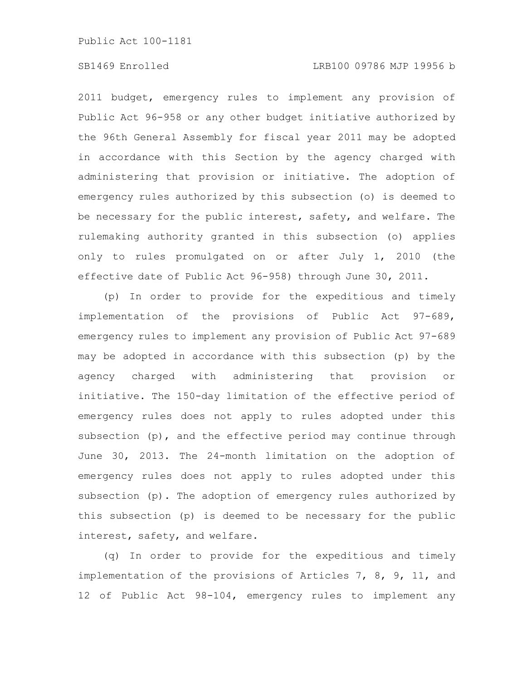2011 budget, emergency rules to implement any provision of Public Act 96-958 or any other budget initiative authorized by the 96th General Assembly for fiscal year 2011 may be adopted in accordance with this Section by the agency charged with administering that provision or initiative. The adoption of emergency rules authorized by this subsection (o) is deemed to be necessary for the public interest, safety, and welfare. The rulemaking authority granted in this subsection (o) applies only to rules promulgated on or after July 1, 2010 (the effective date of Public Act 96-958) through June 30, 2011.

(p) In order to provide for the expeditious and timely implementation of the provisions of Public Act 97-689, emergency rules to implement any provision of Public Act 97-689 may be adopted in accordance with this subsection (p) by the agency charged with administering that provision or initiative. The 150-day limitation of the effective period of emergency rules does not apply to rules adopted under this subsection (p), and the effective period may continue through June 30, 2013. The 24-month limitation on the adoption of emergency rules does not apply to rules adopted under this subsection (p). The adoption of emergency rules authorized by this subsection (p) is deemed to be necessary for the public interest, safety, and welfare.

(q) In order to provide for the expeditious and timely implementation of the provisions of Articles 7, 8, 9, 11, and 12 of Public Act 98-104, emergency rules to implement any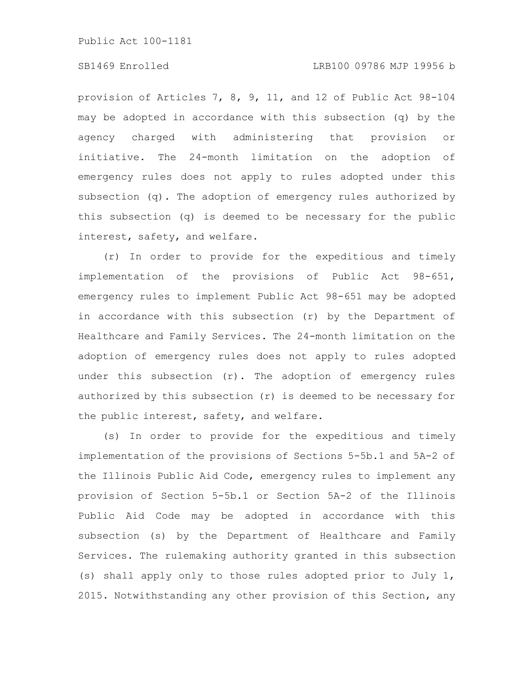# SB1469 Enrolled LRB100 09786 MJP 19956 b

provision of Articles 7, 8, 9, 11, and 12 of Public Act 98-104 may be adopted in accordance with this subsection (q) by the agency charged with administering that provision or initiative. The 24-month limitation on the adoption of emergency rules does not apply to rules adopted under this subsection (q). The adoption of emergency rules authorized by this subsection (q) is deemed to be necessary for the public interest, safety, and welfare.

(r) In order to provide for the expeditious and timely implementation of the provisions of Public Act 98-651, emergency rules to implement Public Act 98-651 may be adopted in accordance with this subsection (r) by the Department of Healthcare and Family Services. The 24-month limitation on the adoption of emergency rules does not apply to rules adopted under this subsection  $(r)$ . The adoption of emergency rules authorized by this subsection (r) is deemed to be necessary for the public interest, safety, and welfare.

(s) In order to provide for the expeditious and timely implementation of the provisions of Sections 5-5b.1 and 5A-2 of the Illinois Public Aid Code, emergency rules to implement any provision of Section 5-5b.1 or Section 5A-2 of the Illinois Public Aid Code may be adopted in accordance with this subsection (s) by the Department of Healthcare and Family Services. The rulemaking authority granted in this subsection (s) shall apply only to those rules adopted prior to July 1, 2015. Notwithstanding any other provision of this Section, any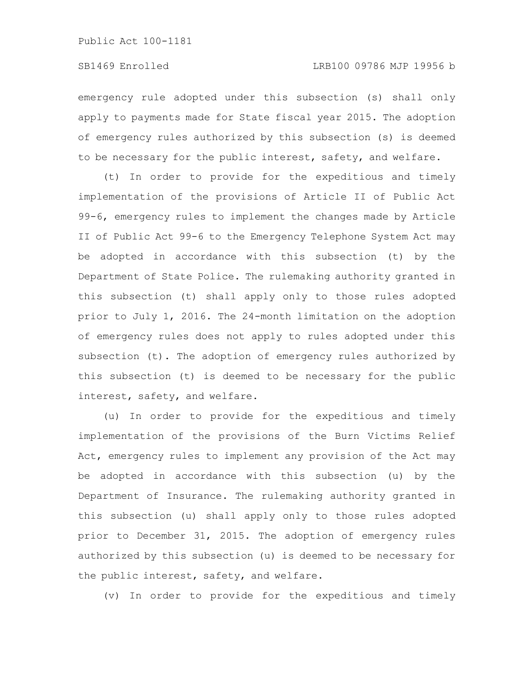emergency rule adopted under this subsection (s) shall only apply to payments made for State fiscal year 2015. The adoption of emergency rules authorized by this subsection (s) is deemed to be necessary for the public interest, safety, and welfare.

(t) In order to provide for the expeditious and timely implementation of the provisions of Article II of Public Act 99-6, emergency rules to implement the changes made by Article II of Public Act 99-6 to the Emergency Telephone System Act may be adopted in accordance with this subsection (t) by the Department of State Police. The rulemaking authority granted in this subsection (t) shall apply only to those rules adopted prior to July 1, 2016. The 24-month limitation on the adoption of emergency rules does not apply to rules adopted under this subsection (t). The adoption of emergency rules authorized by this subsection (t) is deemed to be necessary for the public interest, safety, and welfare.

(u) In order to provide for the expeditious and timely implementation of the provisions of the Burn Victims Relief Act, emergency rules to implement any provision of the Act may be adopted in accordance with this subsection (u) by the Department of Insurance. The rulemaking authority granted in this subsection (u) shall apply only to those rules adopted prior to December 31, 2015. The adoption of emergency rules authorized by this subsection (u) is deemed to be necessary for the public interest, safety, and welfare.

(v) In order to provide for the expeditious and timely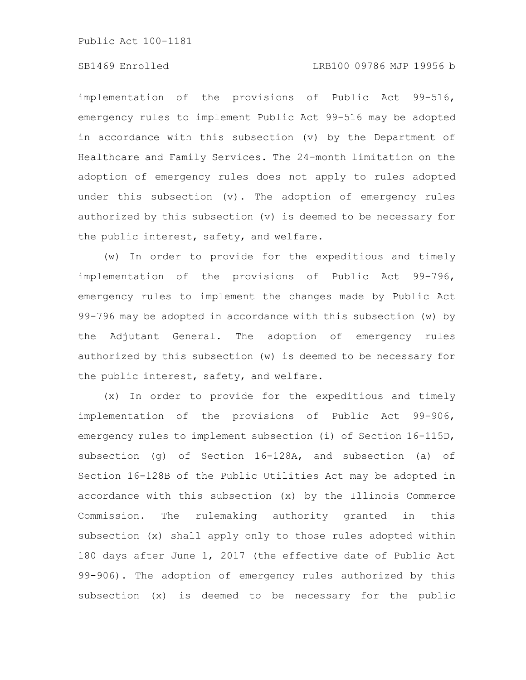# SB1469 Enrolled LRB100 09786 MJP 19956 b

implementation of the provisions of Public Act 99-516, emergency rules to implement Public Act 99-516 may be adopted in accordance with this subsection (v) by the Department of Healthcare and Family Services. The 24-month limitation on the adoption of emergency rules does not apply to rules adopted under this subsection (v). The adoption of emergency rules authorized by this subsection (v) is deemed to be necessary for the public interest, safety, and welfare.

(w) In order to provide for the expeditious and timely implementation of the provisions of Public Act 99-796, emergency rules to implement the changes made by Public Act 99-796 may be adopted in accordance with this subsection (w) by the Adjutant General. The adoption of emergency rules authorized by this subsection (w) is deemed to be necessary for the public interest, safety, and welfare.

(x) In order to provide for the expeditious and timely implementation of the provisions of Public Act 99-906, emergency rules to implement subsection (i) of Section 16-115D, subsection (g) of Section 16-128A, and subsection (a) of Section 16-128B of the Public Utilities Act may be adopted in accordance with this subsection (x) by the Illinois Commerce Commission. The rulemaking authority granted in this subsection (x) shall apply only to those rules adopted within 180 days after June 1, 2017 (the effective date of Public Act 99-906). The adoption of emergency rules authorized by this subsection (x) is deemed to be necessary for the public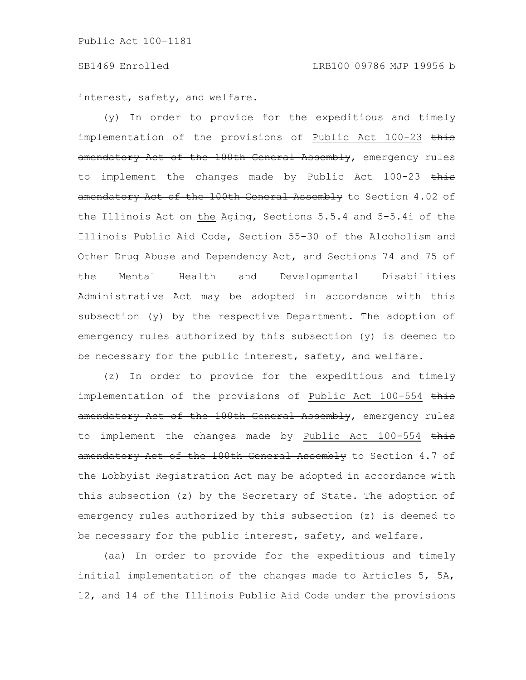interest, safety, and welfare.

(y) In order to provide for the expeditious and timely implementation of the provisions of Public Act 100-23 this amendatory Act of the 100th General Assembly, emergency rules to implement the changes made by Public Act 100-23 this amendatory Act of the 100th General Assembly to Section 4.02 of the Illinois Act on the Aging, Sections 5.5.4 and 5-5.4i of the Illinois Public Aid Code, Section 55-30 of the Alcoholism and Other Drug Abuse and Dependency Act, and Sections 74 and 75 of the Mental Health and Developmental Disabilities Administrative Act may be adopted in accordance with this subsection (y) by the respective Department. The adoption of emergency rules authorized by this subsection (y) is deemed to be necessary for the public interest, safety, and welfare.

(z) In order to provide for the expeditious and timely implementation of the provisions of Public Act 100-554 this amendatory Act of the 100th General Assembly, emergency rules to implement the changes made by Public Act 100-554 this amendatory Act of the 100th General Assembly to Section 4.7 of the Lobbyist Registration Act may be adopted in accordance with this subsection (z) by the Secretary of State. The adoption of emergency rules authorized by this subsection (z) is deemed to be necessary for the public interest, safety, and welfare.

(aa) In order to provide for the expeditious and timely initial implementation of the changes made to Articles 5, 5A, 12, and 14 of the Illinois Public Aid Code under the provisions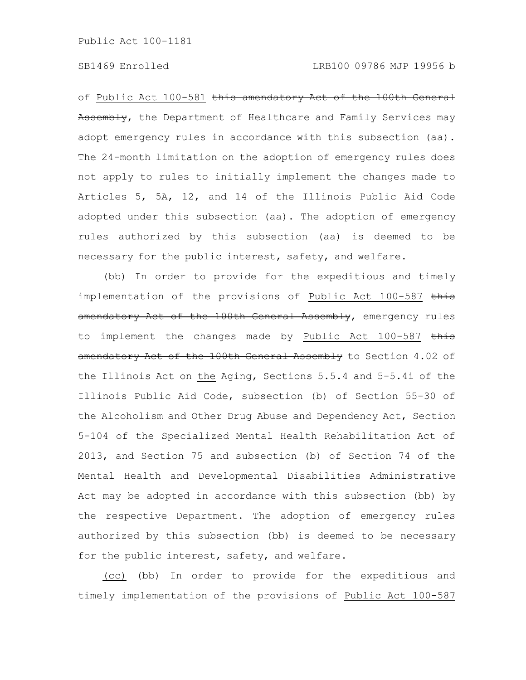of Public Act 100-581 this amendatory Act of the 100th General Assembly, the Department of Healthcare and Family Services may adopt emergency rules in accordance with this subsection (aa). The 24-month limitation on the adoption of emergency rules does not apply to rules to initially implement the changes made to Articles 5, 5A, 12, and 14 of the Illinois Public Aid Code adopted under this subsection (aa). The adoption of emergency rules authorized by this subsection (aa) is deemed to be necessary for the public interest, safety, and welfare.

(bb) In order to provide for the expeditious and timely implementation of the provisions of Public Act 100-587 this amendatory Act of the 100th General Assembly, emergency rules to implement the changes made by Public Act 100-587 this amendatory Act of the 100th General Assembly to Section 4.02 of the Illinois Act on the Aging, Sections 5.5.4 and 5-5.4i of the Illinois Public Aid Code, subsection (b) of Section 55-30 of the Alcoholism and Other Drug Abuse and Dependency Act, Section 5-104 of the Specialized Mental Health Rehabilitation Act of 2013, and Section 75 and subsection (b) of Section 74 of the Mental Health and Developmental Disabilities Administrative Act may be adopted in accordance with this subsection (bb) by the respective Department. The adoption of emergency rules authorized by this subsection (bb) is deemed to be necessary for the public interest, safety, and welfare.

(cc)  $\left(\frac{b}{b}\right)$  In order to provide for the expeditious and timely implementation of the provisions of Public Act 100-587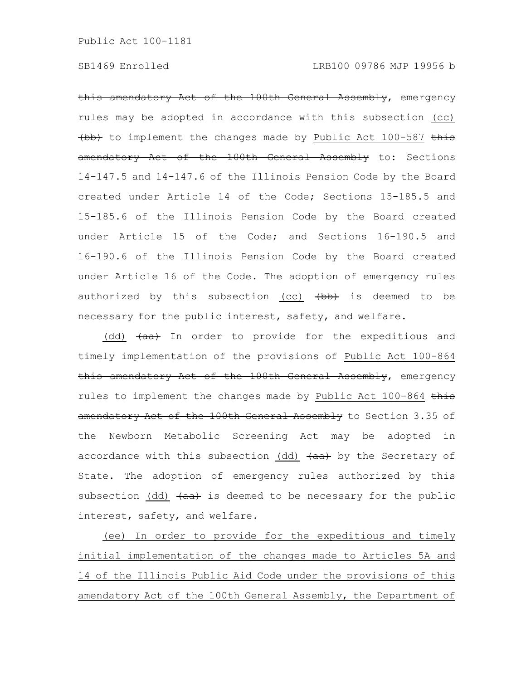this amendatory Act of the 100th General Assembly, emergency rules may be adopted in accordance with this subsection (cc) (bb) to implement the changes made by Public Act 100-587 this amendatory Act of the 100th General Assembly to: Sections 14-147.5 and 14-147.6 of the Illinois Pension Code by the Board created under Article 14 of the Code; Sections 15-185.5 and 15-185.6 of the Illinois Pension Code by the Board created under Article 15 of the Code; and Sections 16-190.5 and 16-190.6 of the Illinois Pension Code by the Board created under Article 16 of the Code. The adoption of emergency rules authorized by this subsection (cc)  $\left(\frac{b}{b}\right)$  is deemed to be necessary for the public interest, safety, and welfare.

(dd)  $(a + b)$  In order to provide for the expeditious and timely implementation of the provisions of Public Act 100-864 this amendatory Act of the 100th General Assembly, emergency rules to implement the changes made by Public Act 100-864 this amendatory Act of the 100th General Assembly to Section 3.35 of the Newborn Metabolic Screening Act may be adopted in accordance with this subsection (dd)  $\frac{\partial}{\partial x}$  by the Secretary of State. The adoption of emergency rules authorized by this subsection (dd)  $(a + b)$  is deemed to be necessary for the public interest, safety, and welfare.

(ee) In order to provide for the expeditious and timely initial implementation of the changes made to Articles 5A and 14 of the Illinois Public Aid Code under the provisions of this amendatory Act of the 100th General Assembly, the Department of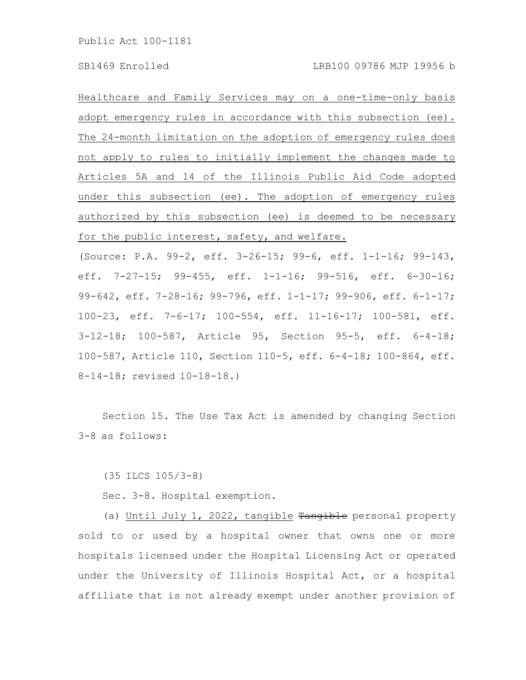Healthcare and Family Services may on a one-time-only basis adopt emergency rules in accordance with this subsection (ee). The 24-month limitation on the adoption of emergency rules does not apply to rules to initially implement the changes made to Articles 5A and 14 of the Illinois Public Aid Code adopted under this subsection (ee). The adoption of emergency rules authorized by this subsection (ee) is deemed to be necessary for the public interest, safety, and welfare.

(Source: P.A. 99-2, eff. 3-26-15; 99-6, eff. 1-1-16; 99-143, eff. 7-27-15; 99-455, eff. 1-1-16; 99-516, eff. 6-30-16; 99-642, eff. 7-28-16; 99-796, eff. 1-1-17; 99-906, eff. 6-1-17; 100-23, eff. 7-6-17; 100-554, eff. 11-16-17; 100-581, eff. 3-12-18; 100-587, Article 95, Section 95-5, eff. 6-4-18; 100-587, Article 110, Section 110-5, eff. 6-4-18; 100-864, eff. 8-14-18; revised 10-18-18.)

Section 15. The Use Tax Act is amended by changing Section 3-8 as follows:

(35 ILCS 105/3-8)

Sec. 3-8. Hospital exemption.

(a) Until July 1, 2022, tangible Tangible personal property sold to or used by a hospital owner that owns one or more hospitals licensed under the Hospital Licensing Act or operated under the University of Illinois Hospital Act, or a hospital affiliate that is not already exempt under another provision of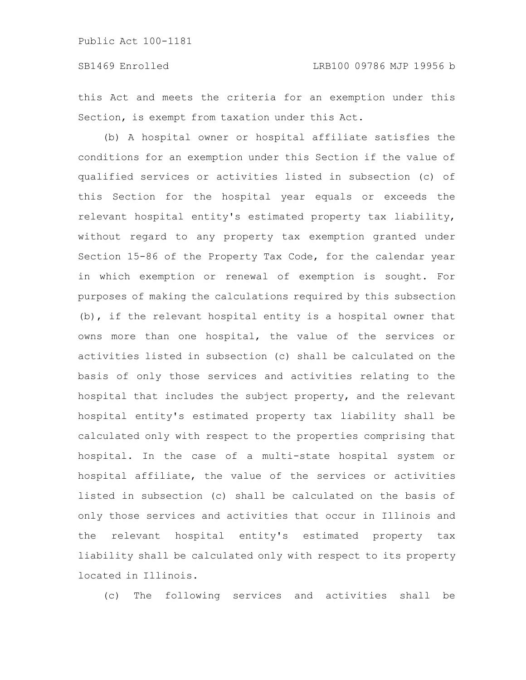this Act and meets the criteria for an exemption under this Section, is exempt from taxation under this Act.

(b) A hospital owner or hospital affiliate satisfies the conditions for an exemption under this Section if the value of qualified services or activities listed in subsection (c) of this Section for the hospital year equals or exceeds the relevant hospital entity's estimated property tax liability, without regard to any property tax exemption granted under Section 15-86 of the Property Tax Code, for the calendar year in which exemption or renewal of exemption is sought. For purposes of making the calculations required by this subsection (b), if the relevant hospital entity is a hospital owner that owns more than one hospital, the value of the services or activities listed in subsection (c) shall be calculated on the basis of only those services and activities relating to the hospital that includes the subject property, and the relevant hospital entity's estimated property tax liability shall be calculated only with respect to the properties comprising that hospital. In the case of a multi-state hospital system or hospital affiliate, the value of the services or activities listed in subsection (c) shall be calculated on the basis of only those services and activities that occur in Illinois and the relevant hospital entity's estimated property tax liability shall be calculated only with respect to its property located in Illinois.

(c) The following services and activities shall be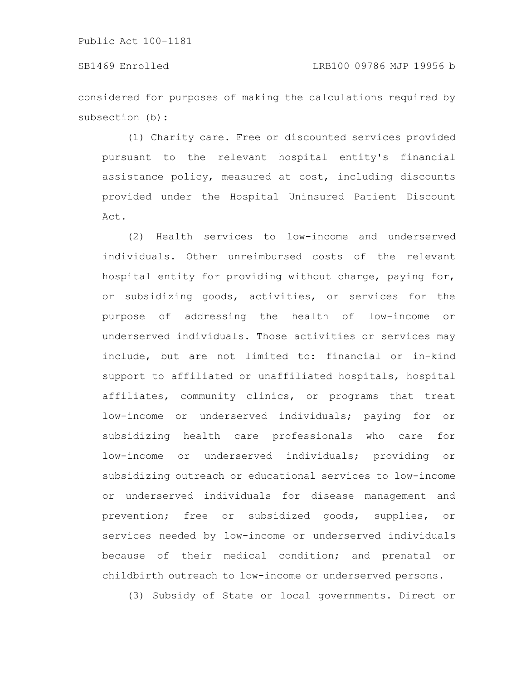considered for purposes of making the calculations required by subsection (b):

(1) Charity care. Free or discounted services provided pursuant to the relevant hospital entity's financial assistance policy, measured at cost, including discounts provided under the Hospital Uninsured Patient Discount Act.

(2) Health services to low-income and underserved individuals. Other unreimbursed costs of the relevant hospital entity for providing without charge, paying for, or subsidizing goods, activities, or services for the purpose of addressing the health of low-income or underserved individuals. Those activities or services may include, but are not limited to: financial or in-kind support to affiliated or unaffiliated hospitals, hospital affiliates, community clinics, or programs that treat low-income or underserved individuals; paying for or subsidizing health care professionals who care for low-income or underserved individuals; providing or subsidizing outreach or educational services to low-income or underserved individuals for disease management and prevention; free or subsidized goods, supplies, or services needed by low-income or underserved individuals because of their medical condition; and prenatal or childbirth outreach to low-income or underserved persons.

(3) Subsidy of State or local governments. Direct or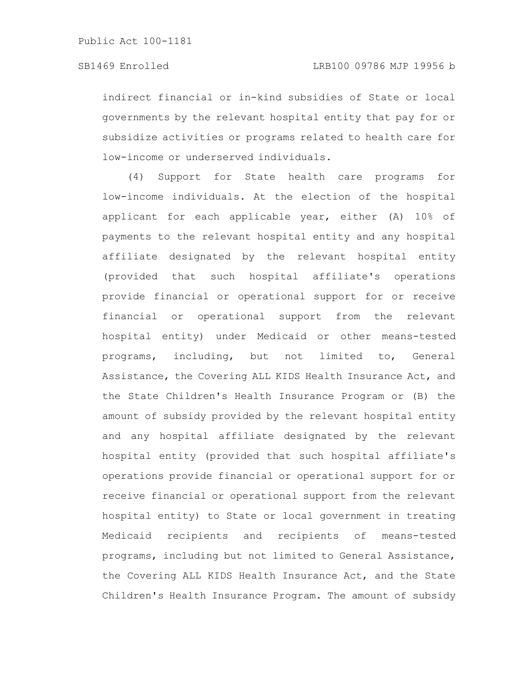indirect financial or in-kind subsidies of State or local governments by the relevant hospital entity that pay for or subsidize activities or programs related to health care for low-income or underserved individuals.

(4) Support for State health care programs for low-income individuals. At the election of the hospital applicant for each applicable year, either (A) 10% of payments to the relevant hospital entity and any hospital affiliate designated by the relevant hospital entity (provided that such hospital affiliate's operations provide financial or operational support for or receive financial or operational support from the relevant hospital entity) under Medicaid or other means-tested programs, including, but not limited to, General Assistance, the Covering ALL KIDS Health Insurance Act, and the State Children's Health Insurance Program or (B) the amount of subsidy provided by the relevant hospital entity and any hospital affiliate designated by the relevant hospital entity (provided that such hospital affiliate's operations provide financial or operational support for or receive financial or operational support from the relevant hospital entity) to State or local government in treating Medicaid recipients and recipients of means-tested programs, including but not limited to General Assistance, the Covering ALL KIDS Health Insurance Act, and the State Children's Health Insurance Program. The amount of subsidy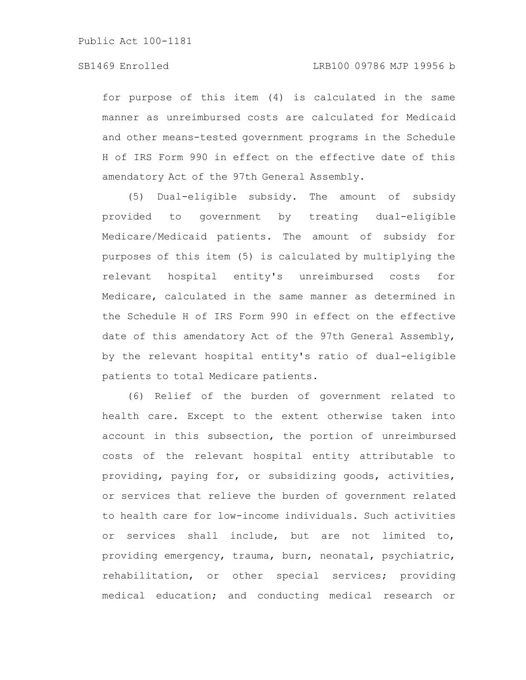# SB1469 Enrolled LRB100 09786 MJP 19956 b

for purpose of this item (4) is calculated in the same manner as unreimbursed costs are calculated for Medicaid and other means-tested government programs in the Schedule H of IRS Form 990 in effect on the effective date of this amendatory Act of the 97th General Assembly.

(5) Dual-eligible subsidy. The amount of subsidy provided to government by treating dual-eligible Medicare/Medicaid patients. The amount of subsidy for purposes of this item (5) is calculated by multiplying the relevant hospital entity's unreimbursed costs for Medicare, calculated in the same manner as determined in the Schedule H of IRS Form 990 in effect on the effective date of this amendatory Act of the 97th General Assembly, by the relevant hospital entity's ratio of dual-eligible patients to total Medicare patients.

(6) Relief of the burden of government related to health care. Except to the extent otherwise taken into account in this subsection, the portion of unreimbursed costs of the relevant hospital entity attributable to providing, paying for, or subsidizing goods, activities, or services that relieve the burden of government related to health care for low-income individuals. Such activities or services shall include, but are not limited to, providing emergency, trauma, burn, neonatal, psychiatric, rehabilitation, or other special services; providing medical education; and conducting medical research or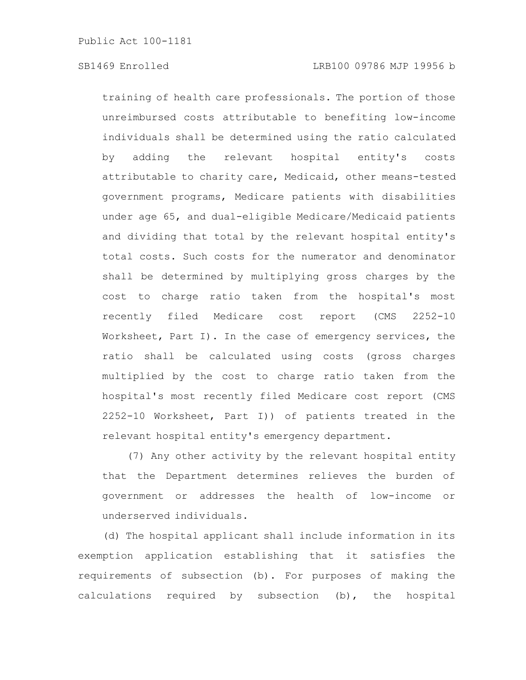training of health care professionals. The portion of those unreimbursed costs attributable to benefiting low-income individuals shall be determined using the ratio calculated by adding the relevant hospital entity's costs attributable to charity care, Medicaid, other means-tested government programs, Medicare patients with disabilities under age 65, and dual-eligible Medicare/Medicaid patients and dividing that total by the relevant hospital entity's total costs. Such costs for the numerator and denominator shall be determined by multiplying gross charges by the cost to charge ratio taken from the hospital's most recently filed Medicare cost report (CMS 2252-10 Worksheet, Part I). In the case of emergency services, the ratio shall be calculated using costs (gross charges multiplied by the cost to charge ratio taken from the hospital's most recently filed Medicare cost report (CMS 2252-10 Worksheet, Part I)) of patients treated in the relevant hospital entity's emergency department.

(7) Any other activity by the relevant hospital entity that the Department determines relieves the burden of government or addresses the health of low-income or underserved individuals.

(d) The hospital applicant shall include information in its exemption application establishing that it satisfies the requirements of subsection (b). For purposes of making the calculations required by subsection (b), the hospital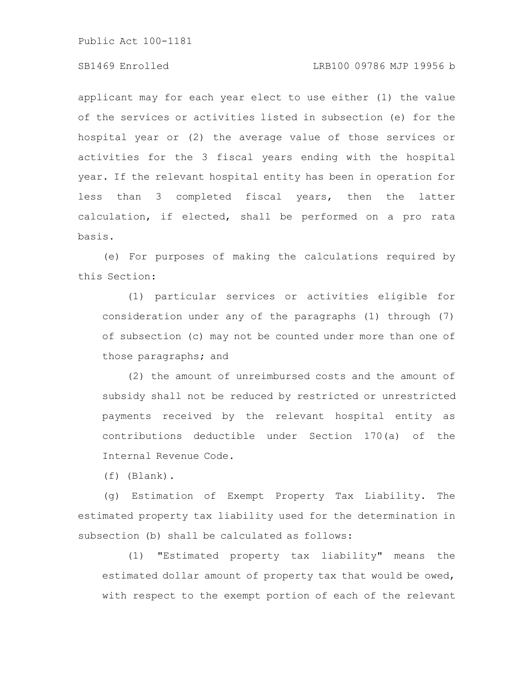# SB1469 Enrolled LRB100 09786 MJP 19956 b

applicant may for each year elect to use either (1) the value of the services or activities listed in subsection (e) for the hospital year or (2) the average value of those services or activities for the 3 fiscal years ending with the hospital year. If the relevant hospital entity has been in operation for less than 3 completed fiscal years, then the latter calculation, if elected, shall be performed on a pro rata basis.

(e) For purposes of making the calculations required by this Section:

(1) particular services or activities eligible for consideration under any of the paragraphs (1) through (7) of subsection (c) may not be counted under more than one of those paragraphs; and

(2) the amount of unreimbursed costs and the amount of subsidy shall not be reduced by restricted or unrestricted payments received by the relevant hospital entity as contributions deductible under Section 170(a) of the Internal Revenue Code.

(f) (Blank).

(g) Estimation of Exempt Property Tax Liability. The estimated property tax liability used for the determination in subsection (b) shall be calculated as follows:

(1) "Estimated property tax liability" means the estimated dollar amount of property tax that would be owed, with respect to the exempt portion of each of the relevant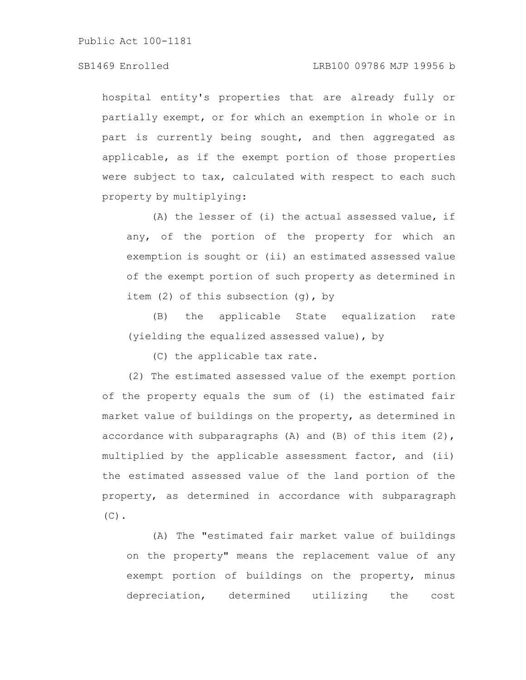# SB1469 Enrolled LRB100 09786 MJP 19956 b

hospital entity's properties that are already fully or partially exempt, or for which an exemption in whole or in part is currently being sought, and then aggregated as applicable, as if the exempt portion of those properties were subject to tax, calculated with respect to each such property by multiplying:

(A) the lesser of (i) the actual assessed value, if any, of the portion of the property for which an exemption is sought or (ii) an estimated assessed value of the exempt portion of such property as determined in item (2) of this subsection (g), by

(B) the applicable State equalization rate (yielding the equalized assessed value), by

(C) the applicable tax rate.

(2) The estimated assessed value of the exempt portion of the property equals the sum of (i) the estimated fair market value of buildings on the property, as determined in accordance with subparagraphs (A) and (B) of this item (2), multiplied by the applicable assessment factor, and (ii) the estimated assessed value of the land portion of the property, as determined in accordance with subparagraph  $(C)$ .

(A) The "estimated fair market value of buildings on the property" means the replacement value of any exempt portion of buildings on the property, minus depreciation, determined utilizing the cost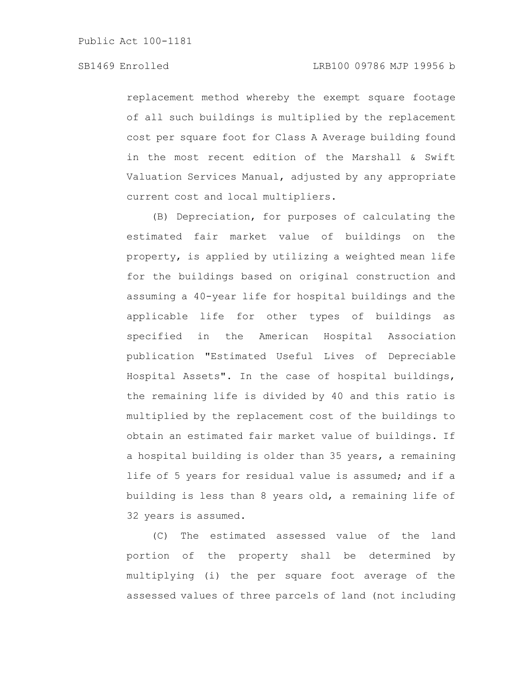replacement method whereby the exempt square footage of all such buildings is multiplied by the replacement cost per square foot for Class A Average building found in the most recent edition of the Marshall & Swift Valuation Services Manual, adjusted by any appropriate current cost and local multipliers.

(B) Depreciation, for purposes of calculating the estimated fair market value of buildings on the property, is applied by utilizing a weighted mean life for the buildings based on original construction and assuming a 40-year life for hospital buildings and the applicable life for other types of buildings as specified in the American Hospital Association publication "Estimated Useful Lives of Depreciable Hospital Assets". In the case of hospital buildings, the remaining life is divided by 40 and this ratio is multiplied by the replacement cost of the buildings to obtain an estimated fair market value of buildings. If a hospital building is older than 35 years, a remaining life of 5 years for residual value is assumed; and if a building is less than 8 years old, a remaining life of 32 years is assumed.

(C) The estimated assessed value of the land portion of the property shall be determined by multiplying (i) the per square foot average of the assessed values of three parcels of land (not including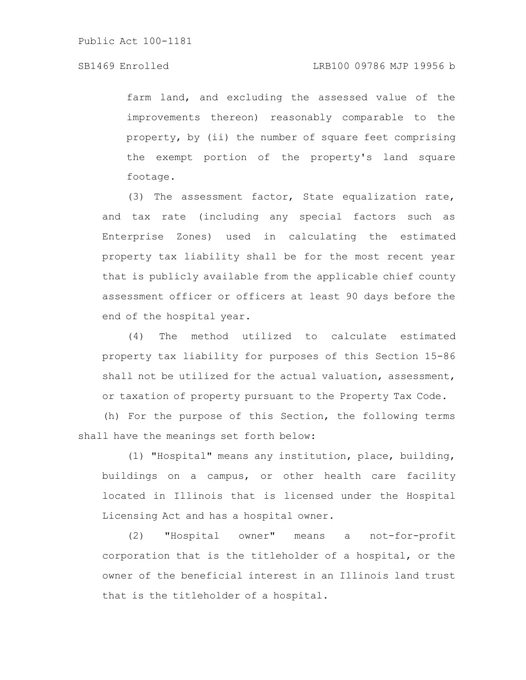farm land, and excluding the assessed value of the improvements thereon) reasonably comparable to the property, by (ii) the number of square feet comprising the exempt portion of the property's land square footage.

(3) The assessment factor, State equalization rate, and tax rate (including any special factors such as Enterprise Zones) used in calculating the estimated property tax liability shall be for the most recent year that is publicly available from the applicable chief county assessment officer or officers at least 90 days before the end of the hospital year.

(4) The method utilized to calculate estimated property tax liability for purposes of this Section 15-86 shall not be utilized for the actual valuation, assessment, or taxation of property pursuant to the Property Tax Code.

(h) For the purpose of this Section, the following terms shall have the meanings set forth below:

(1) "Hospital" means any institution, place, building, buildings on a campus, or other health care facility located in Illinois that is licensed under the Hospital Licensing Act and has a hospital owner.

(2) "Hospital owner" means a not-for-profit corporation that is the titleholder of a hospital, or the owner of the beneficial interest in an Illinois land trust that is the titleholder of a hospital.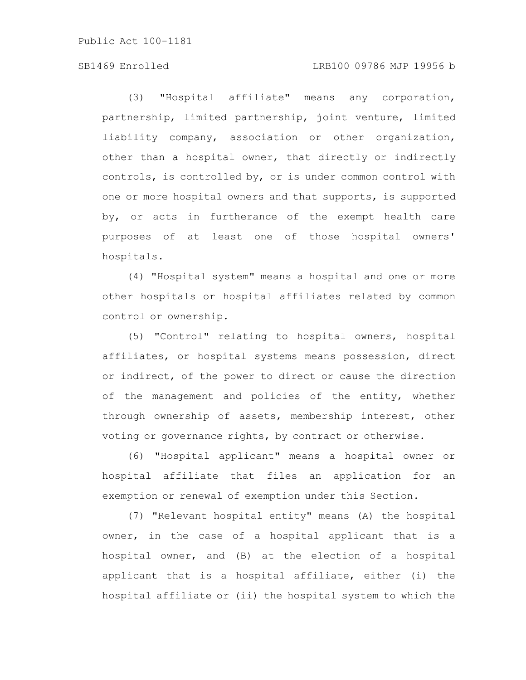# SB1469 Enrolled LRB100 09786 MJP 19956 b

(3) "Hospital affiliate" means any corporation, partnership, limited partnership, joint venture, limited liability company, association or other organization, other than a hospital owner, that directly or indirectly controls, is controlled by, or is under common control with one or more hospital owners and that supports, is supported by, or acts in furtherance of the exempt health care purposes of at least one of those hospital owners' hospitals.

(4) "Hospital system" means a hospital and one or more other hospitals or hospital affiliates related by common control or ownership.

(5) "Control" relating to hospital owners, hospital affiliates, or hospital systems means possession, direct or indirect, of the power to direct or cause the direction of the management and policies of the entity, whether through ownership of assets, membership interest, other voting or governance rights, by contract or otherwise.

(6) "Hospital applicant" means a hospital owner or hospital affiliate that files an application for an exemption or renewal of exemption under this Section.

(7) "Relevant hospital entity" means (A) the hospital owner, in the case of a hospital applicant that is a hospital owner, and (B) at the election of a hospital applicant that is a hospital affiliate, either (i) the hospital affiliate or (ii) the hospital system to which the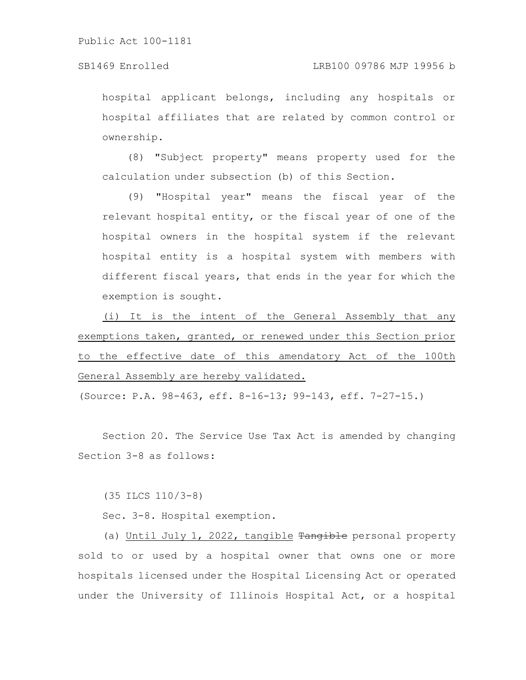hospital applicant belongs, including any hospitals or hospital affiliates that are related by common control or ownership.

(8) "Subject property" means property used for the calculation under subsection (b) of this Section.

(9) "Hospital year" means the fiscal year of the relevant hospital entity, or the fiscal year of one of the hospital owners in the hospital system if the relevant hospital entity is a hospital system with members with different fiscal years, that ends in the year for which the exemption is sought.

(i) It is the intent of the General Assembly that any exemptions taken, granted, or renewed under this Section prior to the effective date of this amendatory Act of the 100th General Assembly are hereby validated.

(Source: P.A. 98-463, eff. 8-16-13; 99-143, eff. 7-27-15.)

Section 20. The Service Use Tax Act is amended by changing Section 3-8 as follows:

(35 ILCS 110/3-8)

Sec. 3-8. Hospital exemption.

(a) Until July 1, 2022, tangible Tangible personal property sold to or used by a hospital owner that owns one or more hospitals licensed under the Hospital Licensing Act or operated under the University of Illinois Hospital Act, or a hospital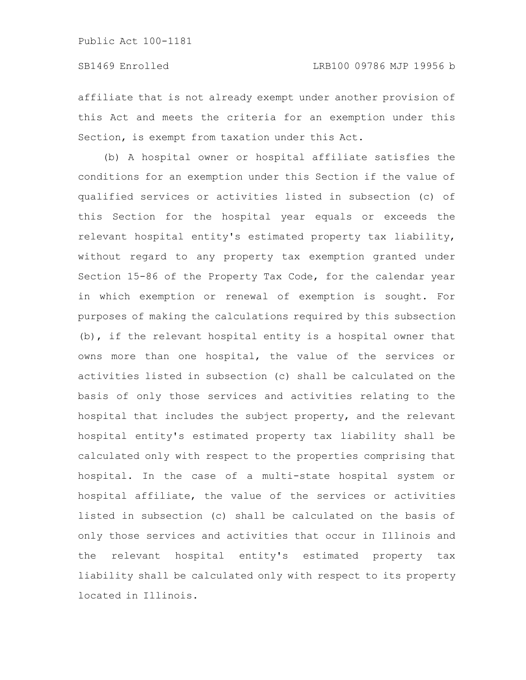affiliate that is not already exempt under another provision of this Act and meets the criteria for an exemption under this Section, is exempt from taxation under this Act.

(b) A hospital owner or hospital affiliate satisfies the conditions for an exemption under this Section if the value of qualified services or activities listed in subsection (c) of this Section for the hospital year equals or exceeds the relevant hospital entity's estimated property tax liability, without regard to any property tax exemption granted under Section 15-86 of the Property Tax Code, for the calendar year in which exemption or renewal of exemption is sought. For purposes of making the calculations required by this subsection (b), if the relevant hospital entity is a hospital owner that owns more than one hospital, the value of the services or activities listed in subsection (c) shall be calculated on the basis of only those services and activities relating to the hospital that includes the subject property, and the relevant hospital entity's estimated property tax liability shall be calculated only with respect to the properties comprising that hospital. In the case of a multi-state hospital system or hospital affiliate, the value of the services or activities listed in subsection (c) shall be calculated on the basis of only those services and activities that occur in Illinois and the relevant hospital entity's estimated property tax liability shall be calculated only with respect to its property located in Illinois.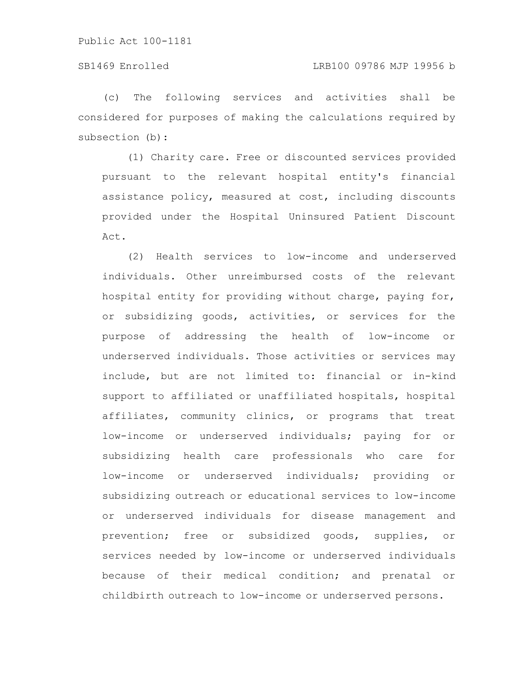# SB1469 Enrolled LRB100 09786 MJP 19956 b

(c) The following services and activities shall be considered for purposes of making the calculations required by subsection (b):

(1) Charity care. Free or discounted services provided pursuant to the relevant hospital entity's financial assistance policy, measured at cost, including discounts provided under the Hospital Uninsured Patient Discount Act.

(2) Health services to low-income and underserved individuals. Other unreimbursed costs of the relevant hospital entity for providing without charge, paying for, or subsidizing goods, activities, or services for the purpose of addressing the health of low-income or underserved individuals. Those activities or services may include, but are not limited to: financial or in-kind support to affiliated or unaffiliated hospitals, hospital affiliates, community clinics, or programs that treat low-income or underserved individuals; paying for or subsidizing health care professionals who care for low-income or underserved individuals; providing or subsidizing outreach or educational services to low-income or underserved individuals for disease management and prevention; free or subsidized goods, supplies, or services needed by low-income or underserved individuals because of their medical condition; and prenatal or childbirth outreach to low-income or underserved persons.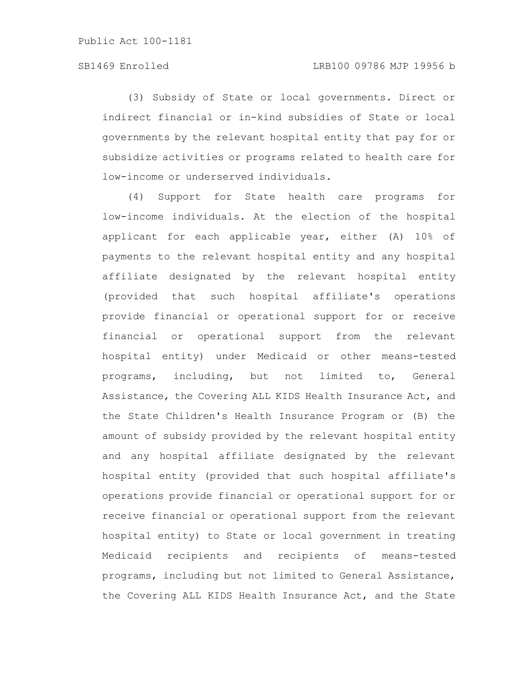(3) Subsidy of State or local governments. Direct or indirect financial or in-kind subsidies of State or local governments by the relevant hospital entity that pay for or subsidize activities or programs related to health care for low-income or underserved individuals.

(4) Support for State health care programs for low-income individuals. At the election of the hospital applicant for each applicable year, either (A) 10% of payments to the relevant hospital entity and any hospital affiliate designated by the relevant hospital entity (provided that such hospital affiliate's operations provide financial or operational support for or receive financial or operational support from the relevant hospital entity) under Medicaid or other means-tested programs, including, but not limited to, General Assistance, the Covering ALL KIDS Health Insurance Act, and the State Children's Health Insurance Program or (B) the amount of subsidy provided by the relevant hospital entity and any hospital affiliate designated by the relevant hospital entity (provided that such hospital affiliate's operations provide financial or operational support for or receive financial or operational support from the relevant hospital entity) to State or local government in treating Medicaid recipients and recipients of means-tested programs, including but not limited to General Assistance, the Covering ALL KIDS Health Insurance Act, and the State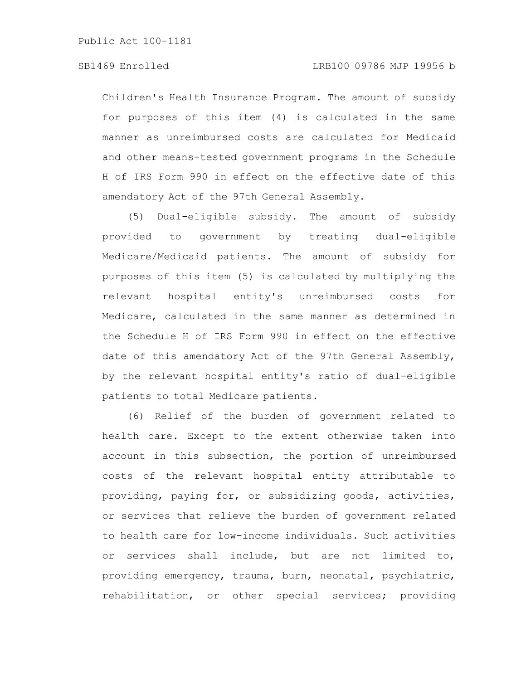# SB1469 Enrolled LRB100 09786 MJP 19956 b

Children's Health Insurance Program. The amount of subsidy for purposes of this item (4) is calculated in the same manner as unreimbursed costs are calculated for Medicaid and other means-tested government programs in the Schedule H of IRS Form 990 in effect on the effective date of this amendatory Act of the 97th General Assembly.

(5) Dual-eligible subsidy. The amount of subsidy provided to government by treating dual-eligible Medicare/Medicaid patients. The amount of subsidy for purposes of this item (5) is calculated by multiplying the relevant hospital entity's unreimbursed costs for Medicare, calculated in the same manner as determined in the Schedule H of IRS Form 990 in effect on the effective date of this amendatory Act of the 97th General Assembly, by the relevant hospital entity's ratio of dual-eligible patients to total Medicare patients.

(6) Relief of the burden of government related to health care. Except to the extent otherwise taken into account in this subsection, the portion of unreimbursed costs of the relevant hospital entity attributable to providing, paying for, or subsidizing goods, activities, or services that relieve the burden of government related to health care for low-income individuals. Such activities or services shall include, but are not limited to, providing emergency, trauma, burn, neonatal, psychiatric, rehabilitation, or other special services; providing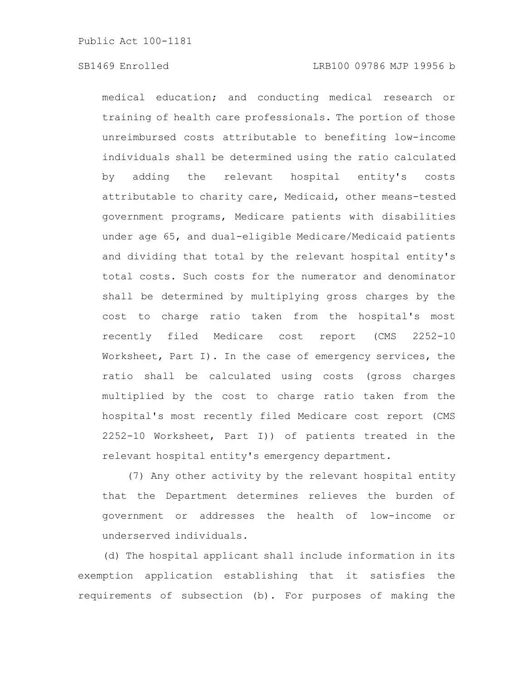medical education; and conducting medical research or training of health care professionals. The portion of those unreimbursed costs attributable to benefiting low-income individuals shall be determined using the ratio calculated by adding the relevant hospital entity's costs attributable to charity care, Medicaid, other means-tested government programs, Medicare patients with disabilities under age 65, and dual-eligible Medicare/Medicaid patients and dividing that total by the relevant hospital entity's total costs. Such costs for the numerator and denominator shall be determined by multiplying gross charges by the cost to charge ratio taken from the hospital's most recently filed Medicare cost report (CMS 2252-10 Worksheet, Part I). In the case of emergency services, the ratio shall be calculated using costs (gross charges multiplied by the cost to charge ratio taken from the hospital's most recently filed Medicare cost report (CMS 2252-10 Worksheet, Part I)) of patients treated in the relevant hospital entity's emergency department.

(7) Any other activity by the relevant hospital entity that the Department determines relieves the burden of government or addresses the health of low-income or underserved individuals.

(d) The hospital applicant shall include information in its exemption application establishing that it satisfies the requirements of subsection (b). For purposes of making the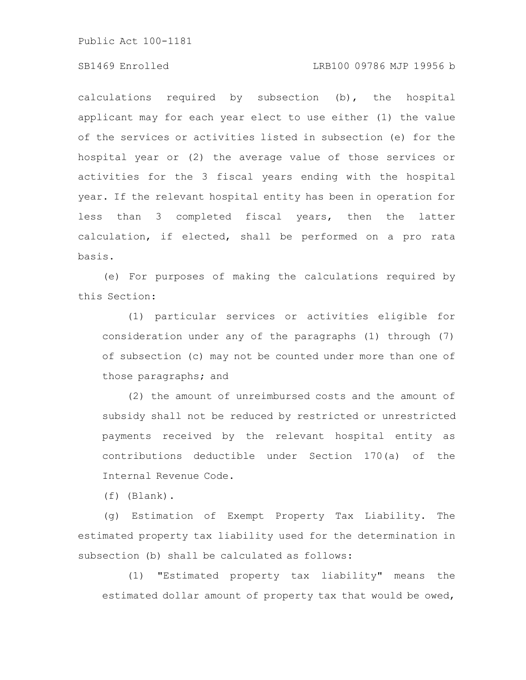# SB1469 Enrolled LRB100 09786 MJP 19956 b

calculations required by subsection (b), the hospital applicant may for each year elect to use either (1) the value of the services or activities listed in subsection (e) for the hospital year or (2) the average value of those services or activities for the 3 fiscal years ending with the hospital year. If the relevant hospital entity has been in operation for less than 3 completed fiscal years, then the latter calculation, if elected, shall be performed on a pro rata basis.

(e) For purposes of making the calculations required by this Section:

(1) particular services or activities eligible for consideration under any of the paragraphs (1) through (7) of subsection (c) may not be counted under more than one of those paragraphs; and

(2) the amount of unreimbursed costs and the amount of subsidy shall not be reduced by restricted or unrestricted payments received by the relevant hospital entity as contributions deductible under Section 170(a) of the Internal Revenue Code.

(f) (Blank).

(g) Estimation of Exempt Property Tax Liability. The estimated property tax liability used for the determination in subsection (b) shall be calculated as follows:

(1) "Estimated property tax liability" means the estimated dollar amount of property tax that would be owed,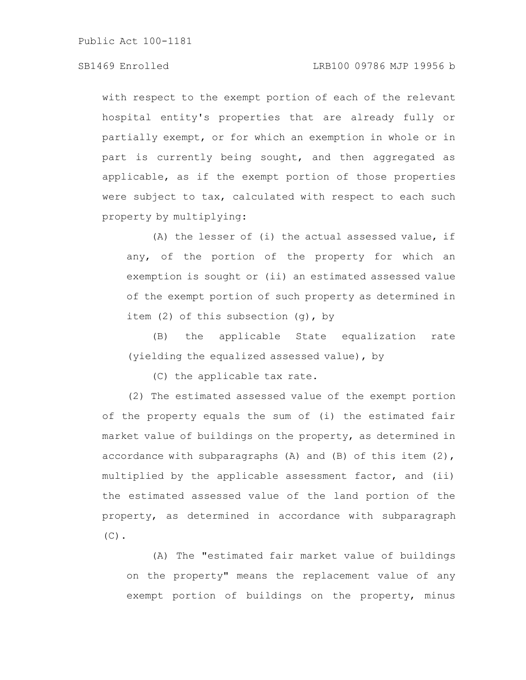# SB1469 Enrolled LRB100 09786 MJP 19956 b

with respect to the exempt portion of each of the relevant hospital entity's properties that are already fully or partially exempt, or for which an exemption in whole or in part is currently being sought, and then aggregated as applicable, as if the exempt portion of those properties were subject to tax, calculated with respect to each such property by multiplying:

(A) the lesser of (i) the actual assessed value, if any, of the portion of the property for which an exemption is sought or (ii) an estimated assessed value of the exempt portion of such property as determined in item (2) of this subsection (g), by

(B) the applicable State equalization rate (yielding the equalized assessed value), by

(C) the applicable tax rate.

(2) The estimated assessed value of the exempt portion of the property equals the sum of (i) the estimated fair market value of buildings on the property, as determined in accordance with subparagraphs  $(A)$  and  $(B)$  of this item  $(2)$ , multiplied by the applicable assessment factor, and (ii) the estimated assessed value of the land portion of the property, as determined in accordance with subparagraph  $(C)$ .

(A) The "estimated fair market value of buildings on the property" means the replacement value of any exempt portion of buildings on the property, minus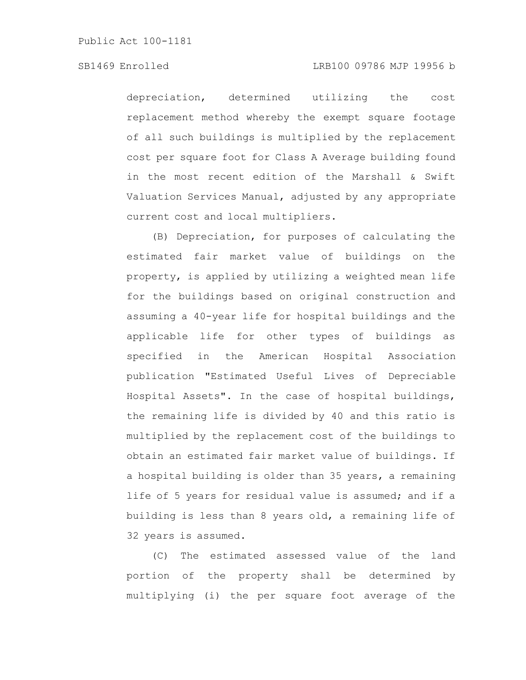depreciation, determined utilizing the cost replacement method whereby the exempt square footage of all such buildings is multiplied by the replacement cost per square foot for Class A Average building found in the most recent edition of the Marshall & Swift Valuation Services Manual, adjusted by any appropriate current cost and local multipliers.

(B) Depreciation, for purposes of calculating the estimated fair market value of buildings on the property, is applied by utilizing a weighted mean life for the buildings based on original construction and assuming a 40-year life for hospital buildings and the applicable life for other types of buildings as specified in the American Hospital Association publication "Estimated Useful Lives of Depreciable Hospital Assets". In the case of hospital buildings, the remaining life is divided by 40 and this ratio is multiplied by the replacement cost of the buildings to obtain an estimated fair market value of buildings. If a hospital building is older than 35 years, a remaining life of 5 years for residual value is assumed; and if a building is less than 8 years old, a remaining life of 32 years is assumed.

(C) The estimated assessed value of the land portion of the property shall be determined by multiplying (i) the per square foot average of the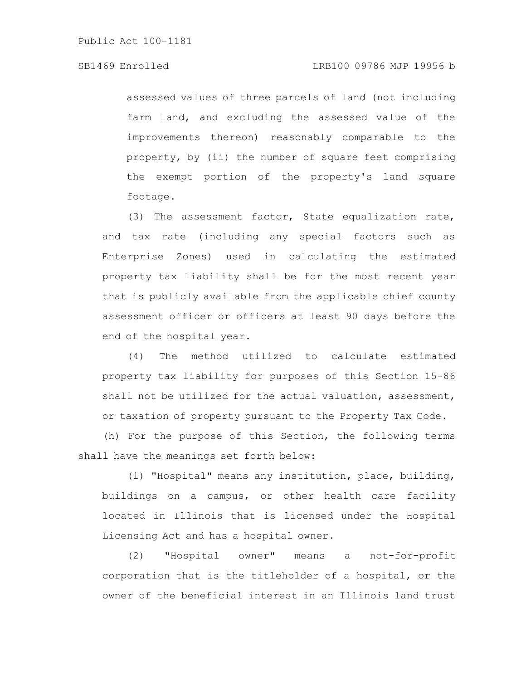assessed values of three parcels of land (not including farm land, and excluding the assessed value of the improvements thereon) reasonably comparable to the property, by (ii) the number of square feet comprising the exempt portion of the property's land square footage.

(3) The assessment factor, State equalization rate, and tax rate (including any special factors such as Enterprise Zones) used in calculating the estimated property tax liability shall be for the most recent year that is publicly available from the applicable chief county assessment officer or officers at least 90 days before the end of the hospital year.

(4) The method utilized to calculate estimated property tax liability for purposes of this Section 15-86 shall not be utilized for the actual valuation, assessment, or taxation of property pursuant to the Property Tax Code.

(h) For the purpose of this Section, the following terms shall have the meanings set forth below:

(1) "Hospital" means any institution, place, building, buildings on a campus, or other health care facility located in Illinois that is licensed under the Hospital Licensing Act and has a hospital owner.

(2) "Hospital owner" means a not-for-profit corporation that is the titleholder of a hospital, or the owner of the beneficial interest in an Illinois land trust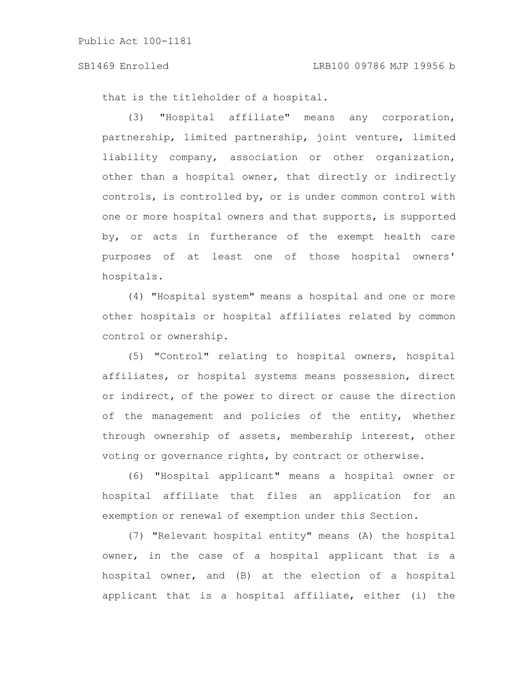that is the titleholder of a hospital.

(3) "Hospital affiliate" means any corporation, partnership, limited partnership, joint venture, limited liability company, association or other organization, other than a hospital owner, that directly or indirectly controls, is controlled by, or is under common control with one or more hospital owners and that supports, is supported by, or acts in furtherance of the exempt health care purposes of at least one of those hospital owners' hospitals.

(4) "Hospital system" means a hospital and one or more other hospitals or hospital affiliates related by common control or ownership.

(5) "Control" relating to hospital owners, hospital affiliates, or hospital systems means possession, direct or indirect, of the power to direct or cause the direction of the management and policies of the entity, whether through ownership of assets, membership interest, other voting or governance rights, by contract or otherwise.

(6) "Hospital applicant" means a hospital owner or hospital affiliate that files an application for an exemption or renewal of exemption under this Section.

(7) "Relevant hospital entity" means (A) the hospital owner, in the case of a hospital applicant that is a hospital owner, and (B) at the election of a hospital applicant that is a hospital affiliate, either (i) the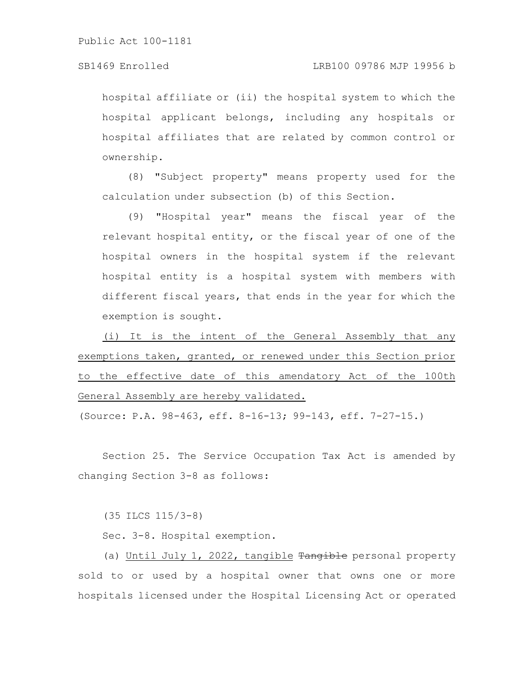hospital affiliate or (ii) the hospital system to which the hospital applicant belongs, including any hospitals or hospital affiliates that are related by common control or ownership.

(8) "Subject property" means property used for the calculation under subsection (b) of this Section.

(9) "Hospital year" means the fiscal year of the relevant hospital entity, or the fiscal year of one of the hospital owners in the hospital system if the relevant hospital entity is a hospital system with members with different fiscal years, that ends in the year for which the exemption is sought.

(i) It is the intent of the General Assembly that any exemptions taken, granted, or renewed under this Section prior to the effective date of this amendatory Act of the 100th General Assembly are hereby validated.

(Source: P.A. 98-463, eff. 8-16-13; 99-143, eff. 7-27-15.)

Section 25. The Service Occupation Tax Act is amended by changing Section 3-8 as follows:

(35 ILCS 115/3-8)

Sec. 3-8. Hospital exemption.

(a) Until July 1, 2022, tangible Tangible personal property sold to or used by a hospital owner that owns one or more hospitals licensed under the Hospital Licensing Act or operated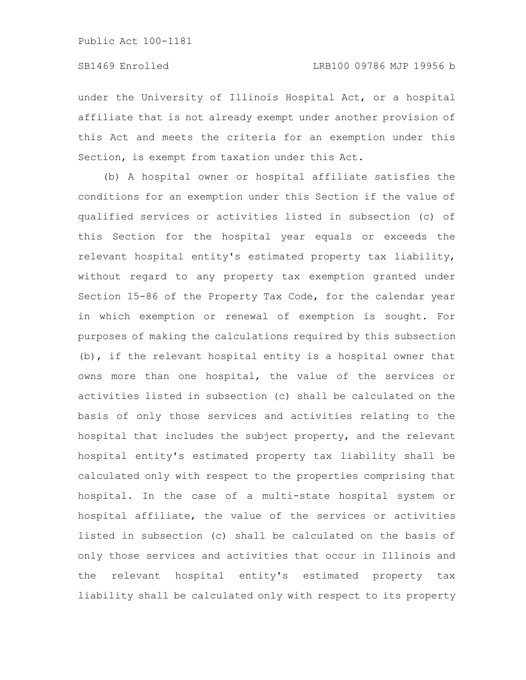under the University of Illinois Hospital Act, or a hospital affiliate that is not already exempt under another provision of this Act and meets the criteria for an exemption under this Section, is exempt from taxation under this Act.

(b) A hospital owner or hospital affiliate satisfies the conditions for an exemption under this Section if the value of qualified services or activities listed in subsection (c) of this Section for the hospital year equals or exceeds the relevant hospital entity's estimated property tax liability, without regard to any property tax exemption granted under Section 15-86 of the Property Tax Code, for the calendar year in which exemption or renewal of exemption is sought. For purposes of making the calculations required by this subsection (b), if the relevant hospital entity is a hospital owner that owns more than one hospital, the value of the services or activities listed in subsection (c) shall be calculated on the basis of only those services and activities relating to the hospital that includes the subject property, and the relevant hospital entity's estimated property tax liability shall be calculated only with respect to the properties comprising that hospital. In the case of a multi-state hospital system or hospital affiliate, the value of the services or activities listed in subsection (c) shall be calculated on the basis of only those services and activities that occur in Illinois and the relevant hospital entity's estimated property tax liability shall be calculated only with respect to its property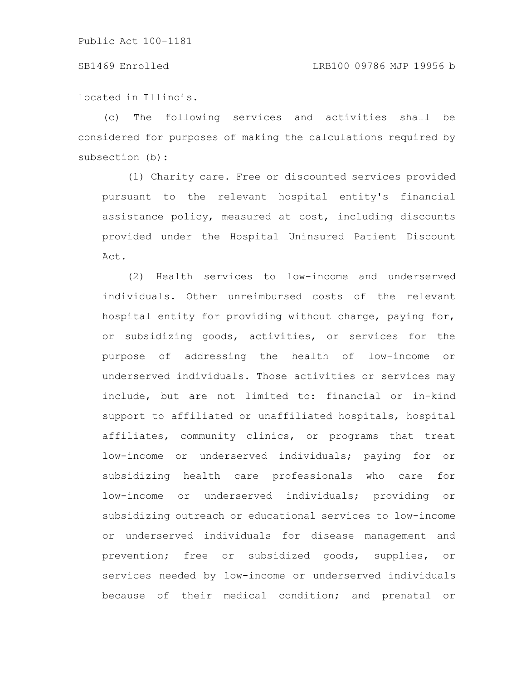#### SB1469 Enrolled LRB100 09786 MJP 19956 b

located in Illinois.

(c) The following services and activities shall be considered for purposes of making the calculations required by subsection (b):

(1) Charity care. Free or discounted services provided pursuant to the relevant hospital entity's financial assistance policy, measured at cost, including discounts provided under the Hospital Uninsured Patient Discount Act.

(2) Health services to low-income and underserved individuals. Other unreimbursed costs of the relevant hospital entity for providing without charge, paying for, or subsidizing goods, activities, or services for the purpose of addressing the health of low-income or underserved individuals. Those activities or services may include, but are not limited to: financial or in-kind support to affiliated or unaffiliated hospitals, hospital affiliates, community clinics, or programs that treat low-income or underserved individuals; paying for or subsidizing health care professionals who care for low-income or underserved individuals; providing or subsidizing outreach or educational services to low-income or underserved individuals for disease management and prevention; free or subsidized goods, supplies, or services needed by low-income or underserved individuals because of their medical condition; and prenatal or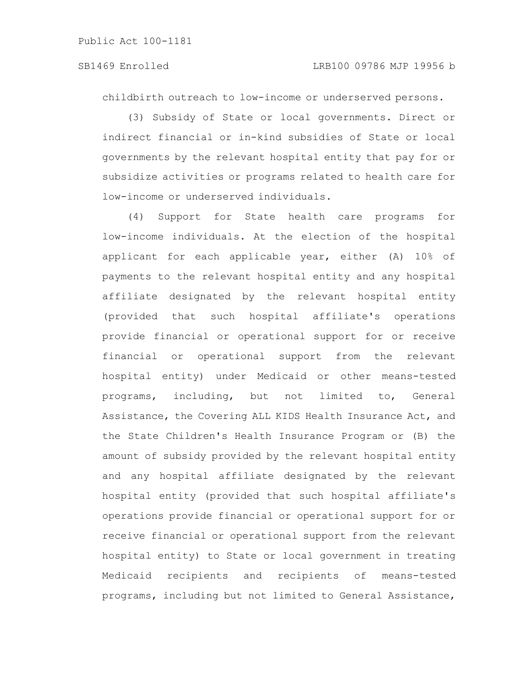childbirth outreach to low-income or underserved persons.

(3) Subsidy of State or local governments. Direct or indirect financial or in-kind subsidies of State or local governments by the relevant hospital entity that pay for or subsidize activities or programs related to health care for low-income or underserved individuals.

(4) Support for State health care programs for low-income individuals. At the election of the hospital applicant for each applicable year, either (A) 10% of payments to the relevant hospital entity and any hospital affiliate designated by the relevant hospital entity (provided that such hospital affiliate's operations provide financial or operational support for or receive financial or operational support from the relevant hospital entity) under Medicaid or other means-tested programs, including, but not limited to, General Assistance, the Covering ALL KIDS Health Insurance Act, and the State Children's Health Insurance Program or (B) the amount of subsidy provided by the relevant hospital entity and any hospital affiliate designated by the relevant hospital entity (provided that such hospital affiliate's operations provide financial or operational support for or receive financial or operational support from the relevant hospital entity) to State or local government in treating Medicaid recipients and recipients of means-tested programs, including but not limited to General Assistance,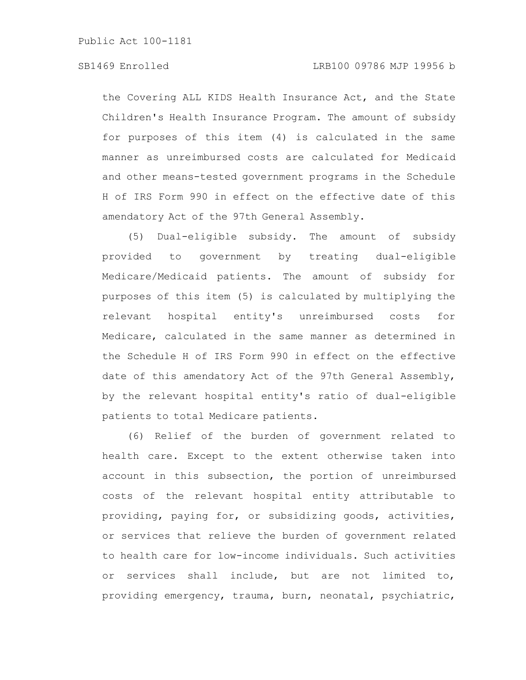# SB1469 Enrolled LRB100 09786 MJP 19956 b

the Covering ALL KIDS Health Insurance Act, and the State Children's Health Insurance Program. The amount of subsidy for purposes of this item (4) is calculated in the same manner as unreimbursed costs are calculated for Medicaid and other means-tested government programs in the Schedule H of IRS Form 990 in effect on the effective date of this amendatory Act of the 97th General Assembly.

(5) Dual-eligible subsidy. The amount of subsidy provided to government by treating dual-eligible Medicare/Medicaid patients. The amount of subsidy for purposes of this item (5) is calculated by multiplying the relevant hospital entity's unreimbursed costs for Medicare, calculated in the same manner as determined in the Schedule H of IRS Form 990 in effect on the effective date of this amendatory Act of the 97th General Assembly, by the relevant hospital entity's ratio of dual-eligible patients to total Medicare patients.

(6) Relief of the burden of government related to health care. Except to the extent otherwise taken into account in this subsection, the portion of unreimbursed costs of the relevant hospital entity attributable to providing, paying for, or subsidizing goods, activities, or services that relieve the burden of government related to health care for low-income individuals. Such activities or services shall include, but are not limited to, providing emergency, trauma, burn, neonatal, psychiatric,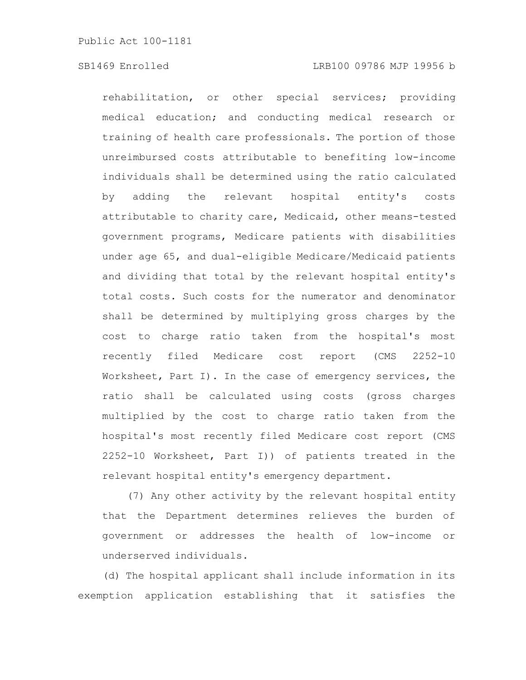rehabilitation, or other special services; providing medical education; and conducting medical research or training of health care professionals. The portion of those unreimbursed costs attributable to benefiting low-income individuals shall be determined using the ratio calculated by adding the relevant hospital entity's costs attributable to charity care, Medicaid, other means-tested government programs, Medicare patients with disabilities under age 65, and dual-eligible Medicare/Medicaid patients and dividing that total by the relevant hospital entity's total costs. Such costs for the numerator and denominator shall be determined by multiplying gross charges by the cost to charge ratio taken from the hospital's most recently filed Medicare cost report (CMS 2252-10 Worksheet, Part I). In the case of emergency services, the ratio shall be calculated using costs (gross charges multiplied by the cost to charge ratio taken from the hospital's most recently filed Medicare cost report (CMS 2252-10 Worksheet, Part I)) of patients treated in the relevant hospital entity's emergency department.

(7) Any other activity by the relevant hospital entity that the Department determines relieves the burden of government or addresses the health of low-income or underserved individuals.

(d) The hospital applicant shall include information in its exemption application establishing that it satisfies the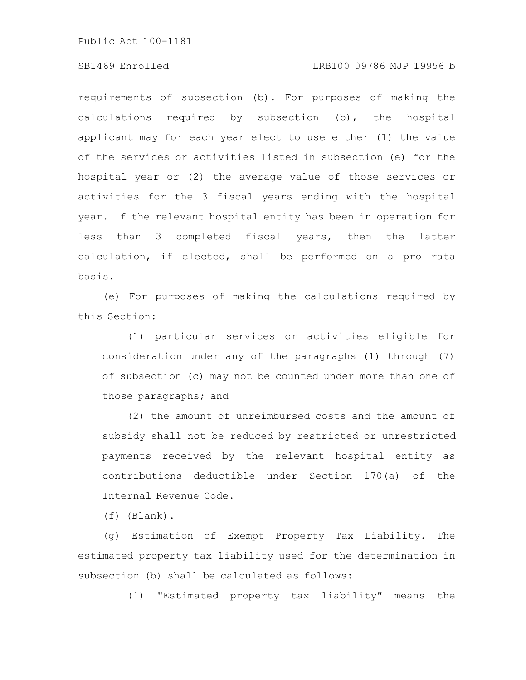### SB1469 Enrolled LRB100 09786 MJP 19956 b

requirements of subsection (b). For purposes of making the calculations required by subsection (b), the hospital applicant may for each year elect to use either (1) the value of the services or activities listed in subsection (e) for the hospital year or (2) the average value of those services or activities for the 3 fiscal years ending with the hospital year. If the relevant hospital entity has been in operation for less than 3 completed fiscal years, then the latter calculation, if elected, shall be performed on a pro rata basis.

(e) For purposes of making the calculations required by this Section:

(1) particular services or activities eligible for consideration under any of the paragraphs (1) through (7) of subsection (c) may not be counted under more than one of those paragraphs; and

(2) the amount of unreimbursed costs and the amount of subsidy shall not be reduced by restricted or unrestricted payments received by the relevant hospital entity as contributions deductible under Section 170(a) of the Internal Revenue Code.

(f) (Blank).

(g) Estimation of Exempt Property Tax Liability. The estimated property tax liability used for the determination in subsection (b) shall be calculated as follows:

(1) "Estimated property tax liability" means the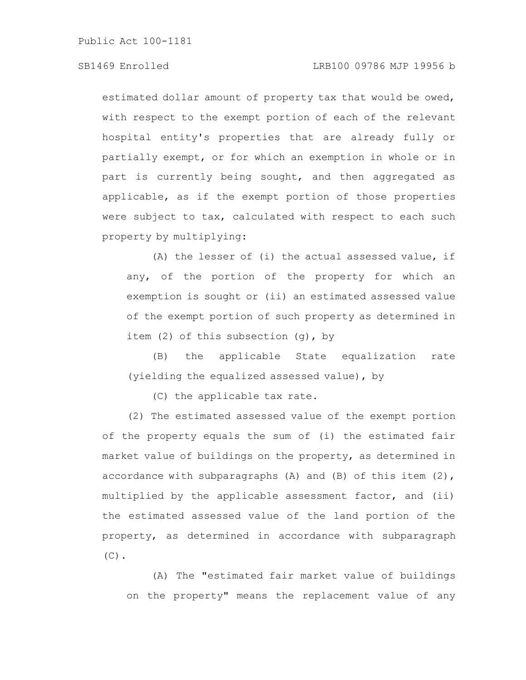# SB1469 Enrolled LRB100 09786 MJP 19956 b

estimated dollar amount of property tax that would be owed, with respect to the exempt portion of each of the relevant hospital entity's properties that are already fully or partially exempt, or for which an exemption in whole or in part is currently being sought, and then aggregated as applicable, as if the exempt portion of those properties were subject to tax, calculated with respect to each such property by multiplying:

(A) the lesser of (i) the actual assessed value, if any, of the portion of the property for which an exemption is sought or (ii) an estimated assessed value of the exempt portion of such property as determined in item (2) of this subsection (g), by

(B) the applicable State equalization rate (yielding the equalized assessed value), by

(C) the applicable tax rate.

(2) The estimated assessed value of the exempt portion of the property equals the sum of (i) the estimated fair market value of buildings on the property, as determined in accordance with subparagraphs  $(A)$  and  $(B)$  of this item  $(2)$ , multiplied by the applicable assessment factor, and (ii) the estimated assessed value of the land portion of the property, as determined in accordance with subparagraph  $(C)$ .

(A) The "estimated fair market value of buildings on the property" means the replacement value of any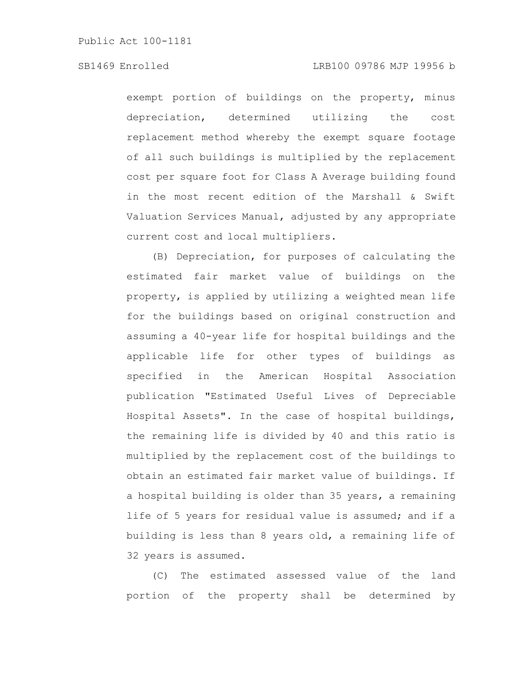exempt portion of buildings on the property, minus depreciation, determined utilizing the cost replacement method whereby the exempt square footage of all such buildings is multiplied by the replacement cost per square foot for Class A Average building found in the most recent edition of the Marshall & Swift Valuation Services Manual, adjusted by any appropriate current cost and local multipliers.

(B) Depreciation, for purposes of calculating the estimated fair market value of buildings on the property, is applied by utilizing a weighted mean life for the buildings based on original construction and assuming a 40-year life for hospital buildings and the applicable life for other types of buildings as specified in the American Hospital Association publication "Estimated Useful Lives of Depreciable Hospital Assets". In the case of hospital buildings, the remaining life is divided by 40 and this ratio is multiplied by the replacement cost of the buildings to obtain an estimated fair market value of buildings. If a hospital building is older than 35 years, a remaining life of 5 years for residual value is assumed; and if a building is less than 8 years old, a remaining life of 32 years is assumed.

(C) The estimated assessed value of the land portion of the property shall be determined by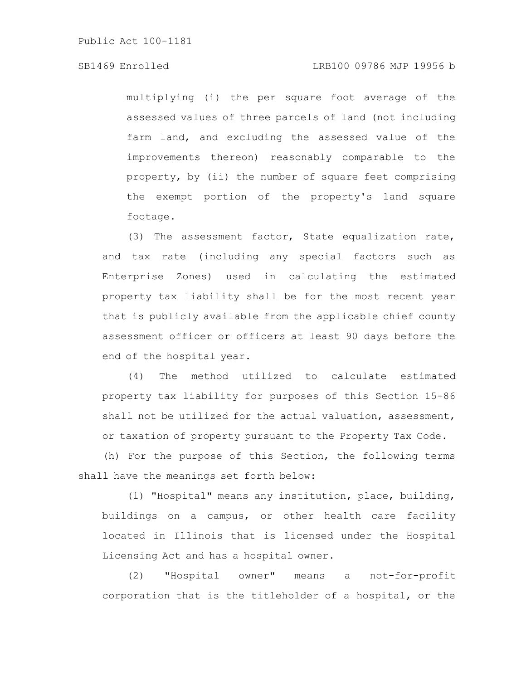# SB1469 Enrolled LRB100 09786 MJP 19956 b

multiplying (i) the per square foot average of the assessed values of three parcels of land (not including farm land, and excluding the assessed value of the improvements thereon) reasonably comparable to the property, by (ii) the number of square feet comprising the exempt portion of the property's land square footage.

(3) The assessment factor, State equalization rate, and tax rate (including any special factors such as Enterprise Zones) used in calculating the estimated property tax liability shall be for the most recent year that is publicly available from the applicable chief county assessment officer or officers at least 90 days before the end of the hospital year.

(4) The method utilized to calculate estimated property tax liability for purposes of this Section 15-86 shall not be utilized for the actual valuation, assessment, or taxation of property pursuant to the Property Tax Code.

(h) For the purpose of this Section, the following terms shall have the meanings set forth below:

(1) "Hospital" means any institution, place, building, buildings on a campus, or other health care facility located in Illinois that is licensed under the Hospital Licensing Act and has a hospital owner.

(2) "Hospital owner" means a not-for-profit corporation that is the titleholder of a hospital, or the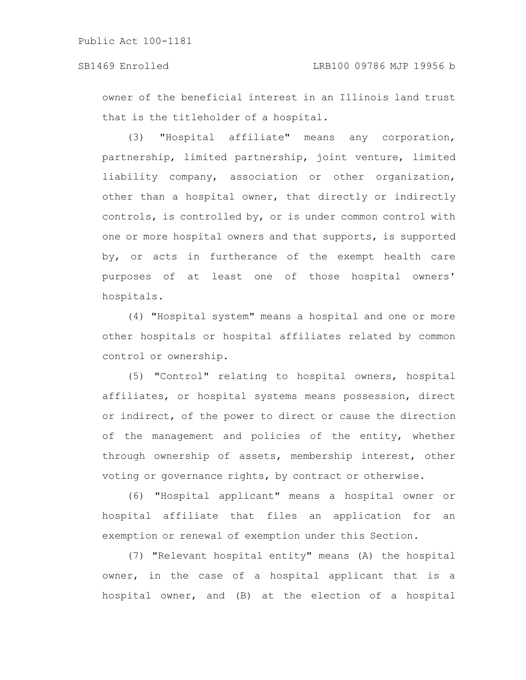owner of the beneficial interest in an Illinois land trust that is the titleholder of a hospital.

(3) "Hospital affiliate" means any corporation, partnership, limited partnership, joint venture, limited liability company, association or other organization, other than a hospital owner, that directly or indirectly controls, is controlled by, or is under common control with one or more hospital owners and that supports, is supported by, or acts in furtherance of the exempt health care purposes of at least one of those hospital owners' hospitals.

(4) "Hospital system" means a hospital and one or more other hospitals or hospital affiliates related by common control or ownership.

(5) "Control" relating to hospital owners, hospital affiliates, or hospital systems means possession, direct or indirect, of the power to direct or cause the direction of the management and policies of the entity, whether through ownership of assets, membership interest, other voting or governance rights, by contract or otherwise.

(6) "Hospital applicant" means a hospital owner or hospital affiliate that files an application for an exemption or renewal of exemption under this Section.

(7) "Relevant hospital entity" means (A) the hospital owner, in the case of a hospital applicant that is a hospital owner, and (B) at the election of a hospital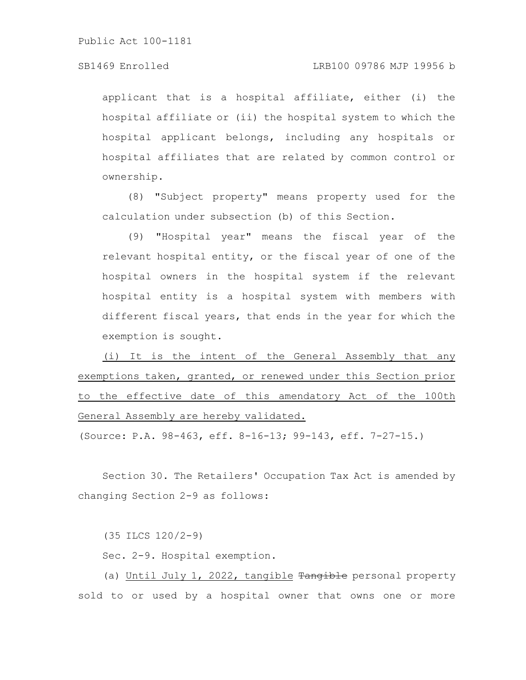# SB1469 Enrolled LRB100 09786 MJP 19956 b

applicant that is a hospital affiliate, either (i) the hospital affiliate or (ii) the hospital system to which the hospital applicant belongs, including any hospitals or hospital affiliates that are related by common control or ownership.

(8) "Subject property" means property used for the calculation under subsection (b) of this Section.

(9) "Hospital year" means the fiscal year of the relevant hospital entity, or the fiscal year of one of the hospital owners in the hospital system if the relevant hospital entity is a hospital system with members with different fiscal years, that ends in the year for which the exemption is sought.

(i) It is the intent of the General Assembly that any exemptions taken, granted, or renewed under this Section prior to the effective date of this amendatory Act of the 100th General Assembly are hereby validated.

(Source: P.A. 98-463, eff. 8-16-13; 99-143, eff. 7-27-15.)

Section 30. The Retailers' Occupation Tax Act is amended by changing Section 2-9 as follows:

(35 ILCS 120/2-9)

Sec. 2-9. Hospital exemption.

(a) Until July 1, 2022, tangible Tangible personal property sold to or used by a hospital owner that owns one or more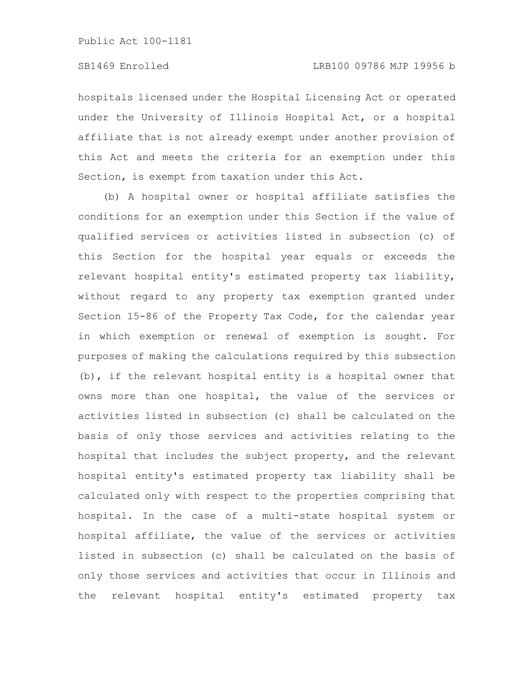hospitals licensed under the Hospital Licensing Act or operated under the University of Illinois Hospital Act, or a hospital affiliate that is not already exempt under another provision of this Act and meets the criteria for an exemption under this Section, is exempt from taxation under this Act.

(b) A hospital owner or hospital affiliate satisfies the conditions for an exemption under this Section if the value of qualified services or activities listed in subsection (c) of this Section for the hospital year equals or exceeds the relevant hospital entity's estimated property tax liability, without regard to any property tax exemption granted under Section 15-86 of the Property Tax Code, for the calendar year in which exemption or renewal of exemption is sought. For purposes of making the calculations required by this subsection (b), if the relevant hospital entity is a hospital owner that owns more than one hospital, the value of the services or activities listed in subsection (c) shall be calculated on the basis of only those services and activities relating to the hospital that includes the subject property, and the relevant hospital entity's estimated property tax liability shall be calculated only with respect to the properties comprising that hospital. In the case of a multi-state hospital system or hospital affiliate, the value of the services or activities listed in subsection (c) shall be calculated on the basis of only those services and activities that occur in Illinois and the relevant hospital entity's estimated property tax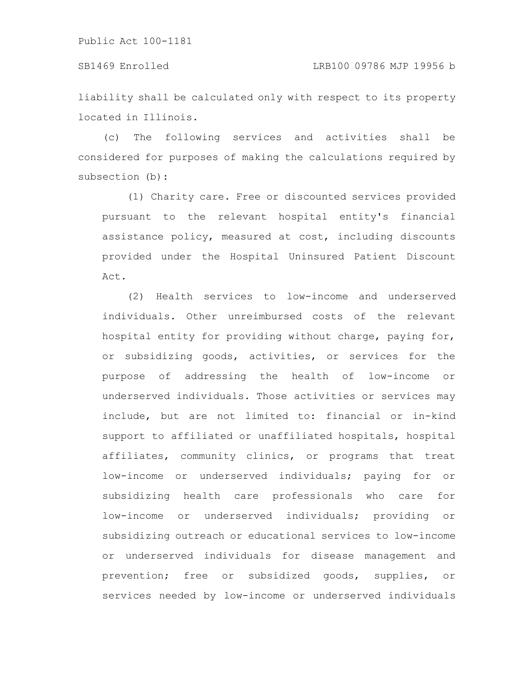liability shall be calculated only with respect to its property located in Illinois.

(c) The following services and activities shall be considered for purposes of making the calculations required by subsection (b):

(1) Charity care. Free or discounted services provided pursuant to the relevant hospital entity's financial assistance policy, measured at cost, including discounts provided under the Hospital Uninsured Patient Discount Act.

(2) Health services to low-income and underserved individuals. Other unreimbursed costs of the relevant hospital entity for providing without charge, paying for, or subsidizing goods, activities, or services for the purpose of addressing the health of low-income or underserved individuals. Those activities or services may include, but are not limited to: financial or in-kind support to affiliated or unaffiliated hospitals, hospital affiliates, community clinics, or programs that treat low-income or underserved individuals; paying for or subsidizing health care professionals who care for low-income or underserved individuals; providing or subsidizing outreach or educational services to low-income or underserved individuals for disease management and prevention; free or subsidized goods, supplies, or services needed by low-income or underserved individuals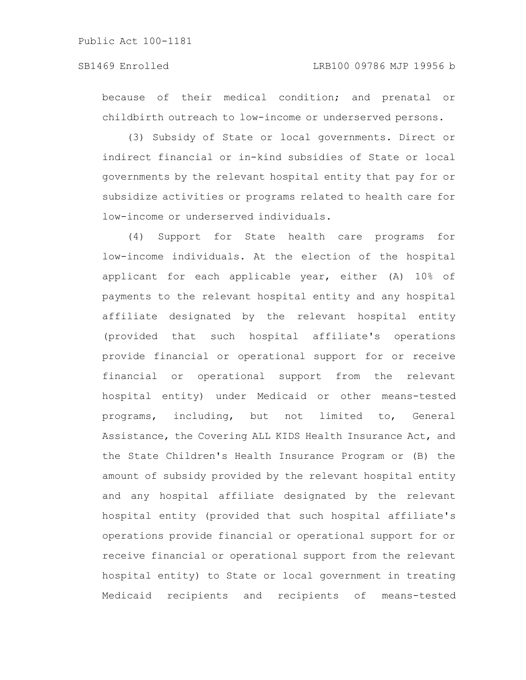because of their medical condition; and prenatal or childbirth outreach to low-income or underserved persons.

(3) Subsidy of State or local governments. Direct or indirect financial or in-kind subsidies of State or local governments by the relevant hospital entity that pay for or subsidize activities or programs related to health care for low-income or underserved individuals.

(4) Support for State health care programs for low-income individuals. At the election of the hospital applicant for each applicable year, either (A) 10% of payments to the relevant hospital entity and any hospital affiliate designated by the relevant hospital entity (provided that such hospital affiliate's operations provide financial or operational support for or receive financial or operational support from the relevant hospital entity) under Medicaid or other means-tested programs, including, but not limited to, General Assistance, the Covering ALL KIDS Health Insurance Act, and the State Children's Health Insurance Program or (B) the amount of subsidy provided by the relevant hospital entity and any hospital affiliate designated by the relevant hospital entity (provided that such hospital affiliate's operations provide financial or operational support for or receive financial or operational support from the relevant hospital entity) to State or local government in treating Medicaid recipients and recipients of means-tested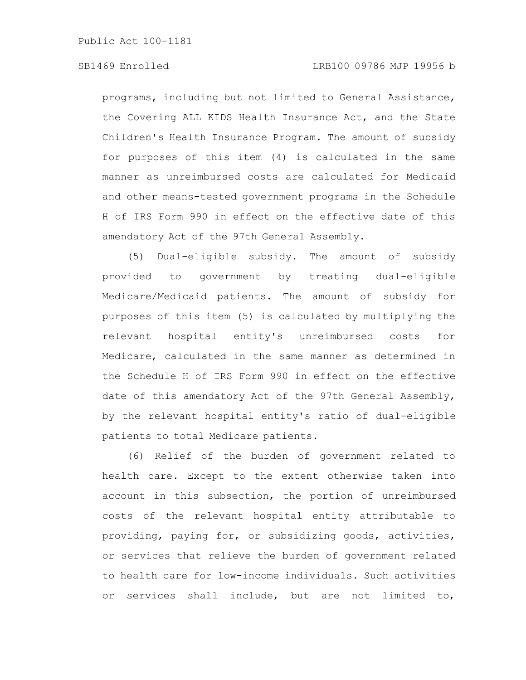programs, including but not limited to General Assistance, the Covering ALL KIDS Health Insurance Act, and the State Children's Health Insurance Program. The amount of subsidy for purposes of this item (4) is calculated in the same manner as unreimbursed costs are calculated for Medicaid and other means-tested government programs in the Schedule H of IRS Form 990 in effect on the effective date of this amendatory Act of the 97th General Assembly.

(5) Dual-eligible subsidy. The amount of subsidy provided to government by treating dual-eligible Medicare/Medicaid patients. The amount of subsidy for purposes of this item (5) is calculated by multiplying the relevant hospital entity's unreimbursed costs for Medicare, calculated in the same manner as determined in the Schedule H of IRS Form 990 in effect on the effective date of this amendatory Act of the 97th General Assembly, by the relevant hospital entity's ratio of dual-eligible patients to total Medicare patients.

(6) Relief of the burden of government related to health care. Except to the extent otherwise taken into account in this subsection, the portion of unreimbursed costs of the relevant hospital entity attributable to providing, paying for, or subsidizing goods, activities, or services that relieve the burden of government related to health care for low-income individuals. Such activities or services shall include, but are not limited to,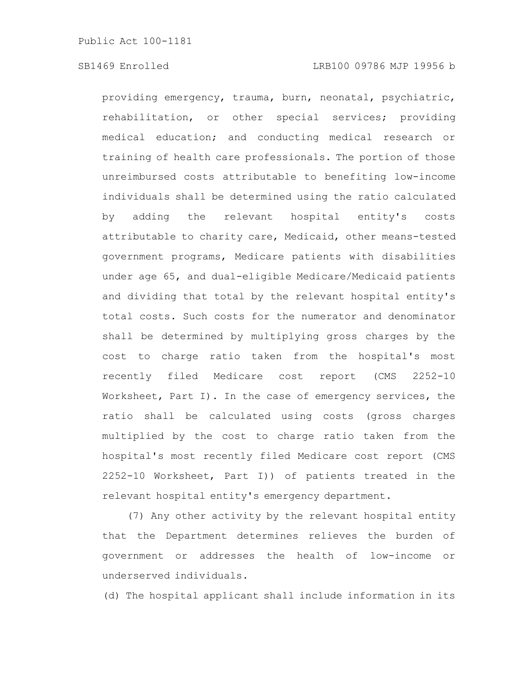providing emergency, trauma, burn, neonatal, psychiatric, rehabilitation, or other special services; providing medical education; and conducting medical research or training of health care professionals. The portion of those unreimbursed costs attributable to benefiting low-income individuals shall be determined using the ratio calculated by adding the relevant hospital entity's costs attributable to charity care, Medicaid, other means-tested government programs, Medicare patients with disabilities under age 65, and dual-eligible Medicare/Medicaid patients and dividing that total by the relevant hospital entity's total costs. Such costs for the numerator and denominator shall be determined by multiplying gross charges by the cost to charge ratio taken from the hospital's most recently filed Medicare cost report (CMS 2252-10 Worksheet, Part I). In the case of emergency services, the ratio shall be calculated using costs (gross charges multiplied by the cost to charge ratio taken from the hospital's most recently filed Medicare cost report (CMS 2252-10 Worksheet, Part I)) of patients treated in the relevant hospital entity's emergency department.

(7) Any other activity by the relevant hospital entity that the Department determines relieves the burden of government or addresses the health of low-income or underserved individuals.

(d) The hospital applicant shall include information in its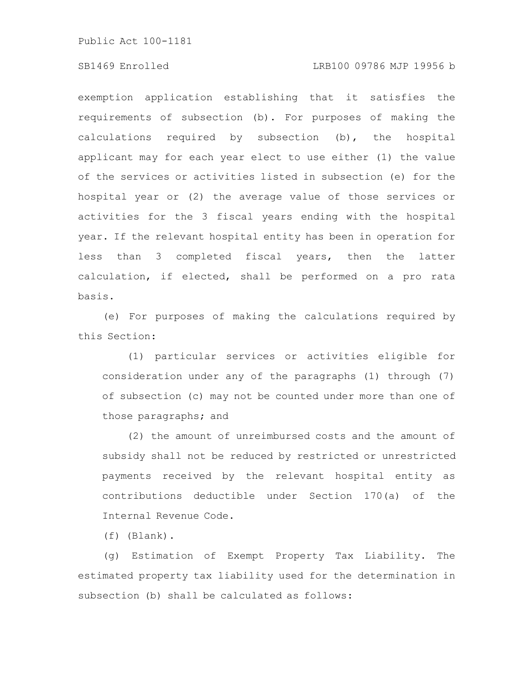# SB1469 Enrolled LRB100 09786 MJP 19956 b

exemption application establishing that it satisfies the requirements of subsection (b). For purposes of making the calculations required by subsection (b), the hospital applicant may for each year elect to use either (1) the value of the services or activities listed in subsection (e) for the hospital year or (2) the average value of those services or activities for the 3 fiscal years ending with the hospital year. If the relevant hospital entity has been in operation for less than 3 completed fiscal years, then the latter calculation, if elected, shall be performed on a pro rata basis.

(e) For purposes of making the calculations required by this Section:

(1) particular services or activities eligible for consideration under any of the paragraphs (1) through (7) of subsection (c) may not be counted under more than one of those paragraphs; and

(2) the amount of unreimbursed costs and the amount of subsidy shall not be reduced by restricted or unrestricted payments received by the relevant hospital entity as contributions deductible under Section 170(a) of the Internal Revenue Code.

(f) (Blank).

(g) Estimation of Exempt Property Tax Liability. The estimated property tax liability used for the determination in subsection (b) shall be calculated as follows: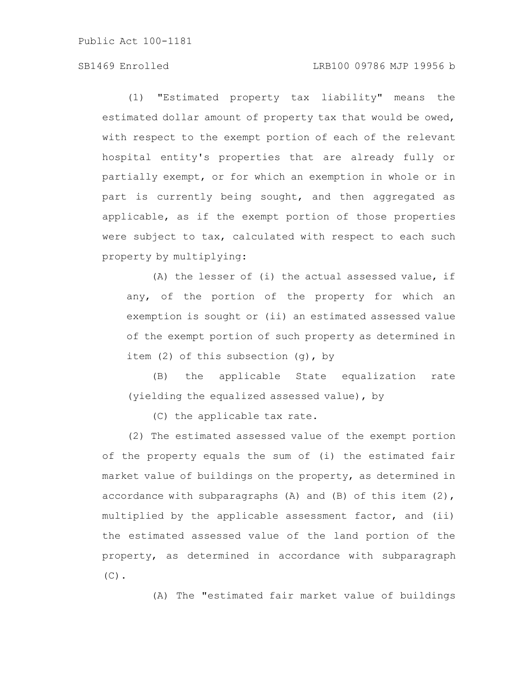# SB1469 Enrolled LRB100 09786 MJP 19956 b

(1) "Estimated property tax liability" means the estimated dollar amount of property tax that would be owed, with respect to the exempt portion of each of the relevant hospital entity's properties that are already fully or partially exempt, or for which an exemption in whole or in part is currently being sought, and then aggregated as applicable, as if the exempt portion of those properties were subject to tax, calculated with respect to each such property by multiplying:

(A) the lesser of (i) the actual assessed value, if any, of the portion of the property for which an exemption is sought or (ii) an estimated assessed value of the exempt portion of such property as determined in item (2) of this subsection (g), by

(B) the applicable State equalization rate (yielding the equalized assessed value), by

(C) the applicable tax rate.

(2) The estimated assessed value of the exempt portion of the property equals the sum of (i) the estimated fair market value of buildings on the property, as determined in accordance with subparagraphs (A) and (B) of this item (2), multiplied by the applicable assessment factor, and (ii) the estimated assessed value of the land portion of the property, as determined in accordance with subparagraph  $(C)$ .

(A) The "estimated fair market value of buildings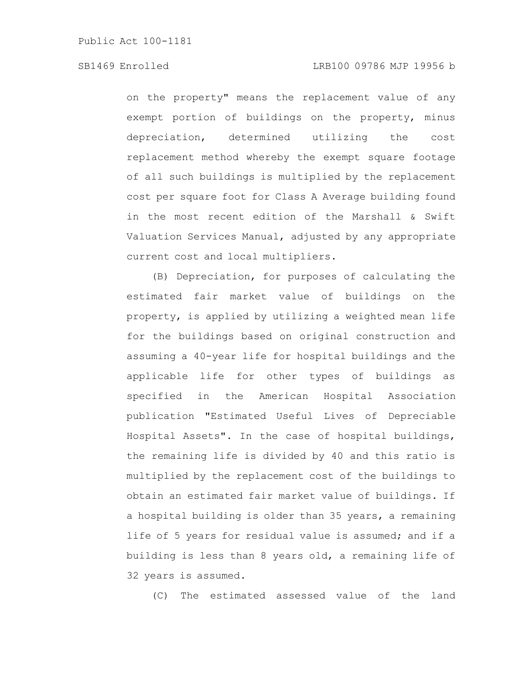on the property" means the replacement value of any exempt portion of buildings on the property, minus depreciation, determined utilizing the cost replacement method whereby the exempt square footage of all such buildings is multiplied by the replacement cost per square foot for Class A Average building found in the most recent edition of the Marshall & Swift Valuation Services Manual, adjusted by any appropriate current cost and local multipliers.

(B) Depreciation, for purposes of calculating the estimated fair market value of buildings on the property, is applied by utilizing a weighted mean life for the buildings based on original construction and assuming a 40-year life for hospital buildings and the applicable life for other types of buildings as specified in the American Hospital Association publication "Estimated Useful Lives of Depreciable Hospital Assets". In the case of hospital buildings, the remaining life is divided by 40 and this ratio is multiplied by the replacement cost of the buildings to obtain an estimated fair market value of buildings. If a hospital building is older than 35 years, a remaining life of 5 years for residual value is assumed; and if a building is less than 8 years old, a remaining life of 32 years is assumed.

(C) The estimated assessed value of the land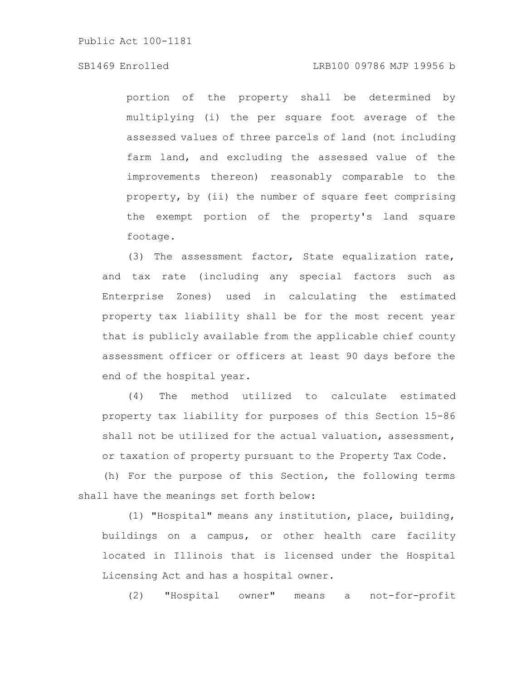## SB1469 Enrolled LRB100 09786 MJP 19956 b

portion of the property shall be determined by multiplying (i) the per square foot average of the assessed values of three parcels of land (not including farm land, and excluding the assessed value of the improvements thereon) reasonably comparable to the property, by (ii) the number of square feet comprising the exempt portion of the property's land square footage.

(3) The assessment factor, State equalization rate, and tax rate (including any special factors such as Enterprise Zones) used in calculating the estimated property tax liability shall be for the most recent year that is publicly available from the applicable chief county assessment officer or officers at least 90 days before the end of the hospital year.

(4) The method utilized to calculate estimated property tax liability for purposes of this Section 15-86 shall not be utilized for the actual valuation, assessment, or taxation of property pursuant to the Property Tax Code.

(h) For the purpose of this Section, the following terms shall have the meanings set forth below:

(1) "Hospital" means any institution, place, building, buildings on a campus, or other health care facility located in Illinois that is licensed under the Hospital Licensing Act and has a hospital owner.

(2) "Hospital owner" means a not-for-profit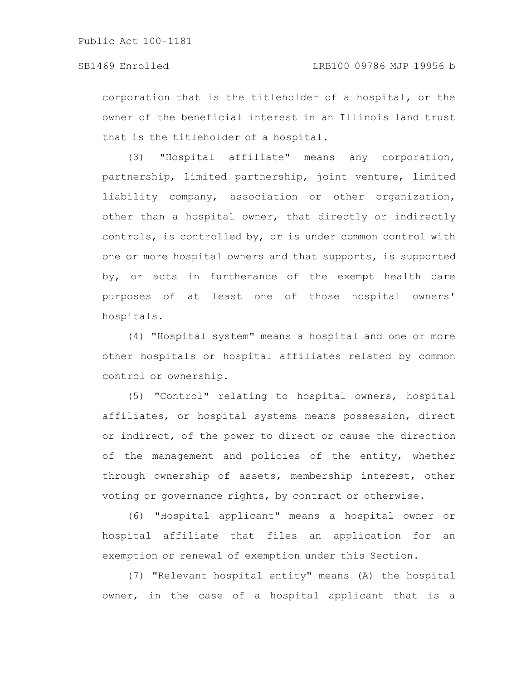corporation that is the titleholder of a hospital, or the owner of the beneficial interest in an Illinois land trust that is the titleholder of a hospital.

(3) "Hospital affiliate" means any corporation, partnership, limited partnership, joint venture, limited liability company, association or other organization, other than a hospital owner, that directly or indirectly controls, is controlled by, or is under common control with one or more hospital owners and that supports, is supported by, or acts in furtherance of the exempt health care purposes of at least one of those hospital owners' hospitals.

(4) "Hospital system" means a hospital and one or more other hospitals or hospital affiliates related by common control or ownership.

(5) "Control" relating to hospital owners, hospital affiliates, or hospital systems means possession, direct or indirect, of the power to direct or cause the direction of the management and policies of the entity, whether through ownership of assets, membership interest, other voting or governance rights, by contract or otherwise.

(6) "Hospital applicant" means a hospital owner or hospital affiliate that files an application for an exemption or renewal of exemption under this Section.

(7) "Relevant hospital entity" means (A) the hospital owner, in the case of a hospital applicant that is a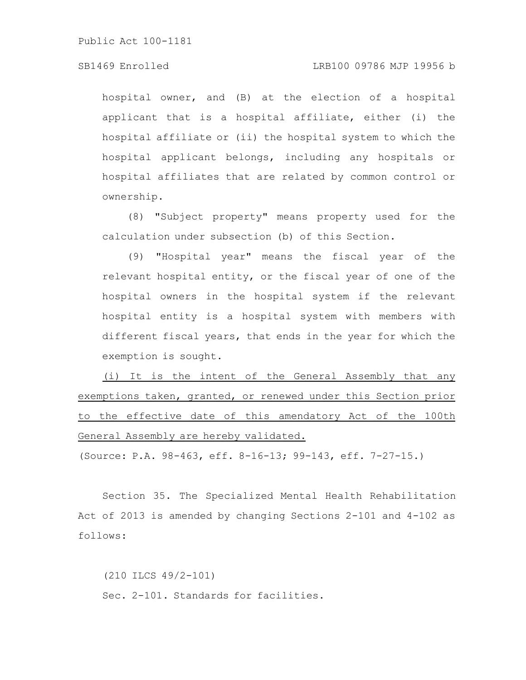# SB1469 Enrolled LRB100 09786 MJP 19956 b

hospital owner, and (B) at the election of a hospital applicant that is a hospital affiliate, either (i) the hospital affiliate or (ii) the hospital system to which the hospital applicant belongs, including any hospitals or hospital affiliates that are related by common control or ownership.

(8) "Subject property" means property used for the calculation under subsection (b) of this Section.

(9) "Hospital year" means the fiscal year of the relevant hospital entity, or the fiscal year of one of the hospital owners in the hospital system if the relevant hospital entity is a hospital system with members with different fiscal years, that ends in the year for which the exemption is sought.

(i) It is the intent of the General Assembly that any exemptions taken, granted, or renewed under this Section prior to the effective date of this amendatory Act of the 100th General Assembly are hereby validated.

(Source: P.A. 98-463, eff. 8-16-13; 99-143, eff. 7-27-15.)

Section 35. The Specialized Mental Health Rehabilitation Act of 2013 is amended by changing Sections 2-101 and 4-102 as follows:

(210 ILCS 49/2-101) Sec. 2-101. Standards for facilities.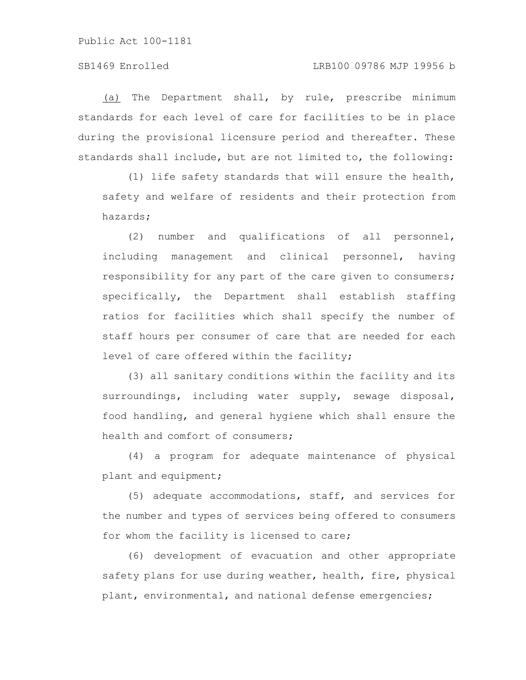# SB1469 Enrolled LRB100 09786 MJP 19956 b

(a) The Department shall, by rule, prescribe minimum standards for each level of care for facilities to be in place during the provisional licensure period and thereafter. These standards shall include, but are not limited to, the following:

(1) life safety standards that will ensure the health, safety and welfare of residents and their protection from hazards;

(2) number and qualifications of all personnel, including management and clinical personnel, having responsibility for any part of the care given to consumers; specifically, the Department shall establish staffing ratios for facilities which shall specify the number of staff hours per consumer of care that are needed for each level of care offered within the facility;

(3) all sanitary conditions within the facility and its surroundings, including water supply, sewage disposal, food handling, and general hygiene which shall ensure the health and comfort of consumers;

(4) a program for adequate maintenance of physical plant and equipment;

(5) adequate accommodations, staff, and services for the number and types of services being offered to consumers for whom the facility is licensed to care;

(6) development of evacuation and other appropriate safety plans for use during weather, health, fire, physical plant, environmental, and national defense emergencies;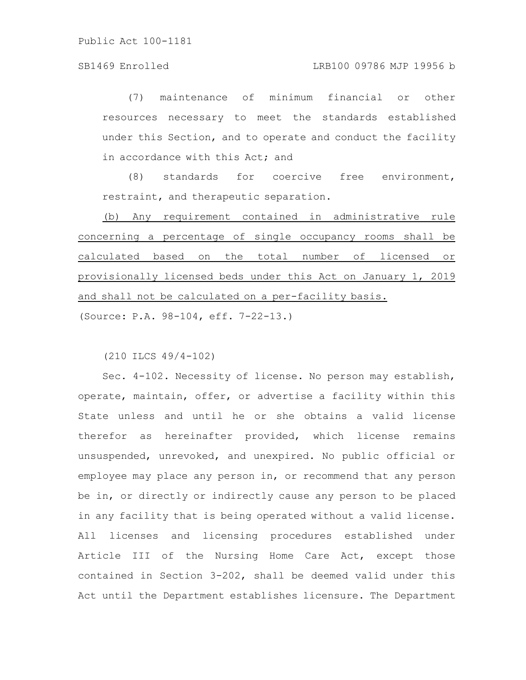## SB1469 Enrolled LRB100 09786 MJP 19956 b

(7) maintenance of minimum financial or other resources necessary to meet the standards established under this Section, and to operate and conduct the facility in accordance with this Act; and

(8) standards for coercive free environment, restraint, and therapeutic separation.

(b) Any requirement contained in administrative rule concerning a percentage of single occupancy rooms shall be calculated based on the total number of licensed or provisionally licensed beds under this Act on January 1, 2019 and shall not be calculated on a per-facility basis.

(Source: P.A. 98-104, eff. 7-22-13.)

(210 ILCS 49/4-102)

Sec. 4-102. Necessity of license. No person may establish, operate, maintain, offer, or advertise a facility within this State unless and until he or she obtains a valid license therefor as hereinafter provided, which license remains unsuspended, unrevoked, and unexpired. No public official or employee may place any person in, or recommend that any person be in, or directly or indirectly cause any person to be placed in any facility that is being operated without a valid license. All licenses and licensing procedures established under Article III of the Nursing Home Care Act, except those contained in Section 3-202, shall be deemed valid under this Act until the Department establishes licensure. The Department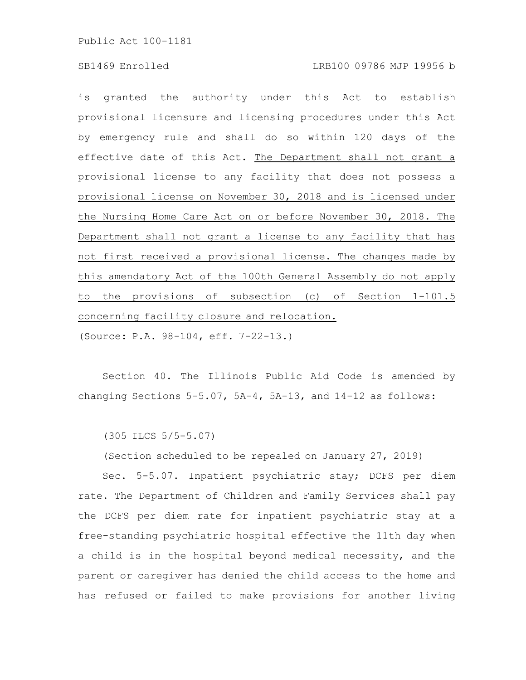is granted the authority under this Act to establish provisional licensure and licensing procedures under this Act by emergency rule and shall do so within 120 days of the effective date of this Act. The Department shall not grant a provisional license to any facility that does not possess a provisional license on November 30, 2018 and is licensed under the Nursing Home Care Act on or before November 30, 2018. The Department shall not grant a license to any facility that has not first received a provisional license. The changes made by this amendatory Act of the 100th General Assembly do not apply to the provisions of subsection (c) of Section 1-101.5 concerning facility closure and relocation.

(Source: P.A. 98-104, eff. 7-22-13.)

Section 40. The Illinois Public Aid Code is amended by changing Sections 5-5.07, 5A-4, 5A-13, and 14-12 as follows:

(305 ILCS 5/5-5.07)

(Section scheduled to be repealed on January 27, 2019)

Sec. 5-5.07. Inpatient psychiatric stay; DCFS per diem rate. The Department of Children and Family Services shall pay the DCFS per diem rate for inpatient psychiatric stay at a free-standing psychiatric hospital effective the 11th day when a child is in the hospital beyond medical necessity, and the parent or caregiver has denied the child access to the home and has refused or failed to make provisions for another living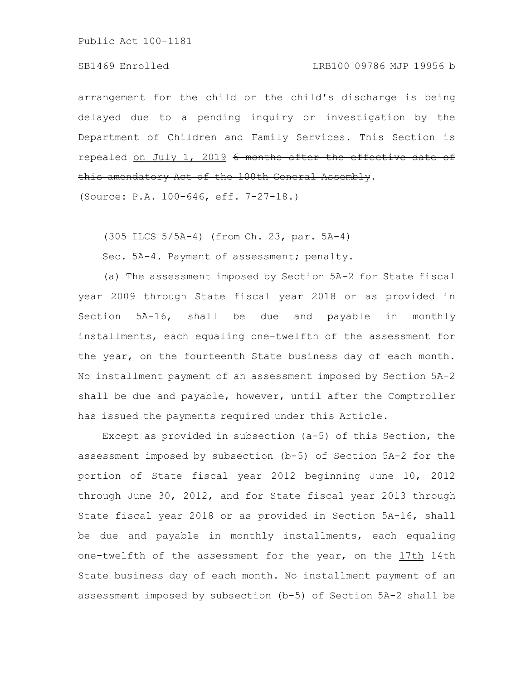arrangement for the child or the child's discharge is being delayed due to a pending inquiry or investigation by the Department of Children and Family Services. This Section is repealed on July 1, 2019 6 months after the effective date of this amendatory Act of the 100th General Assembly.

(Source: P.A. 100-646, eff. 7-27-18.)

(305 ILCS 5/5A-4) (from Ch. 23, par. 5A-4)

Sec. 5A-4. Payment of assessment; penalty.

(a) The assessment imposed by Section 5A-2 for State fiscal year 2009 through State fiscal year 2018 or as provided in Section 5A-16, shall be due and payable in monthly installments, each equaling one-twelfth of the assessment for the year, on the fourteenth State business day of each month. No installment payment of an assessment imposed by Section 5A-2 shall be due and payable, however, until after the Comptroller has issued the payments required under this Article.

Except as provided in subsection (a-5) of this Section, the assessment imposed by subsection (b-5) of Section 5A-2 for the portion of State fiscal year 2012 beginning June 10, 2012 through June 30, 2012, and for State fiscal year 2013 through State fiscal year 2018 or as provided in Section 5A-16, shall be due and payable in monthly installments, each equaling one-twelfth of the assessment for the year, on the 17th 14th State business day of each month. No installment payment of an assessment imposed by subsection (b-5) of Section 5A-2 shall be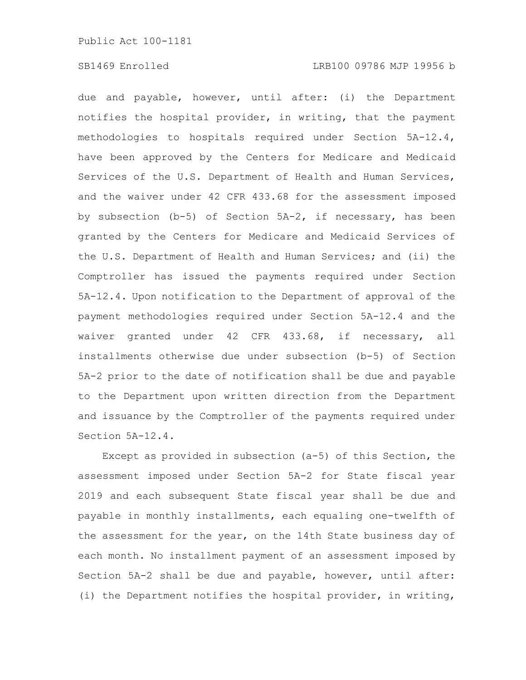due and payable, however, until after: (i) the Department notifies the hospital provider, in writing, that the payment methodologies to hospitals required under Section 5A-12.4, have been approved by the Centers for Medicare and Medicaid Services of the U.S. Department of Health and Human Services, and the waiver under 42 CFR 433.68 for the assessment imposed by subsection (b-5) of Section 5A-2, if necessary, has been granted by the Centers for Medicare and Medicaid Services of the U.S. Department of Health and Human Services; and (ii) the Comptroller has issued the payments required under Section 5A-12.4. Upon notification to the Department of approval of the payment methodologies required under Section 5A-12.4 and the waiver granted under 42 CFR 433.68, if necessary, all installments otherwise due under subsection (b-5) of Section 5A-2 prior to the date of notification shall be due and payable to the Department upon written direction from the Department and issuance by the Comptroller of the payments required under Section 5A-12.4.

Except as provided in subsection (a-5) of this Section, the assessment imposed under Section 5A-2 for State fiscal year 2019 and each subsequent State fiscal year shall be due and payable in monthly installments, each equaling one-twelfth of the assessment for the year, on the 14th State business day of each month. No installment payment of an assessment imposed by Section 5A-2 shall be due and payable, however, until after: (i) the Department notifies the hospital provider, in writing,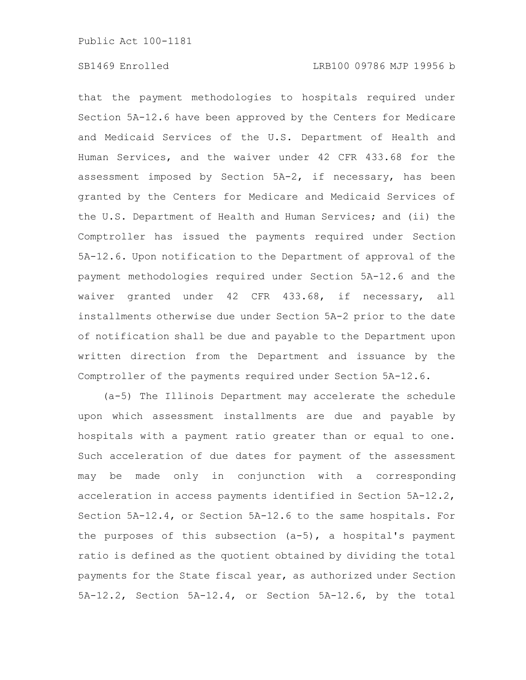that the payment methodologies to hospitals required under Section 5A-12.6 have been approved by the Centers for Medicare and Medicaid Services of the U.S. Department of Health and Human Services, and the waiver under 42 CFR 433.68 for the assessment imposed by Section 5A-2, if necessary, has been granted by the Centers for Medicare and Medicaid Services of the U.S. Department of Health and Human Services; and (ii) the Comptroller has issued the payments required under Section 5A-12.6. Upon notification to the Department of approval of the payment methodologies required under Section 5A-12.6 and the waiver granted under 42 CFR 433.68, if necessary, all installments otherwise due under Section 5A-2 prior to the date of notification shall be due and payable to the Department upon written direction from the Department and issuance by the Comptroller of the payments required under Section 5A-12.6.

(a-5) The Illinois Department may accelerate the schedule upon which assessment installments are due and payable by hospitals with a payment ratio greater than or equal to one. Such acceleration of due dates for payment of the assessment may be made only in conjunction with a corresponding acceleration in access payments identified in Section 5A-12.2, Section 5A-12.4, or Section 5A-12.6 to the same hospitals. For the purposes of this subsection (a-5), a hospital's payment ratio is defined as the quotient obtained by dividing the total payments for the State fiscal year, as authorized under Section 5A-12.2, Section 5A-12.4, or Section 5A-12.6, by the total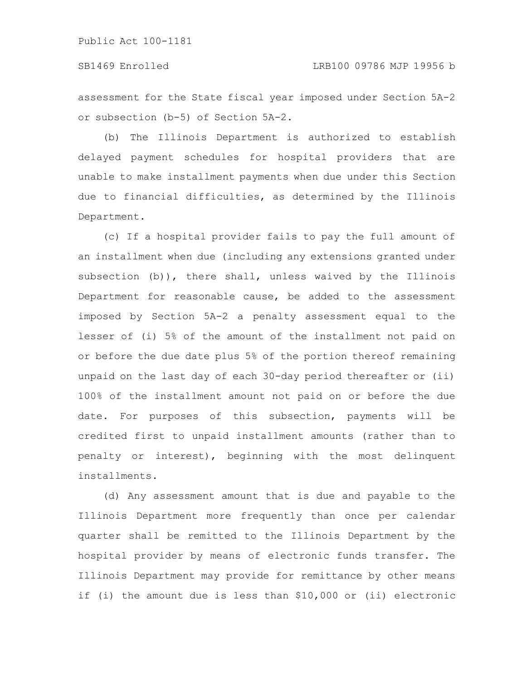assessment for the State fiscal year imposed under Section 5A-2 or subsection (b-5) of Section 5A-2.

(b) The Illinois Department is authorized to establish delayed payment schedules for hospital providers that are unable to make installment payments when due under this Section due to financial difficulties, as determined by the Illinois Department.

(c) If a hospital provider fails to pay the full amount of an installment when due (including any extensions granted under subsection (b)), there shall, unless waived by the Illinois Department for reasonable cause, be added to the assessment imposed by Section 5A-2 a penalty assessment equal to the lesser of (i) 5% of the amount of the installment not paid on or before the due date plus 5% of the portion thereof remaining unpaid on the last day of each 30-day period thereafter or (ii) 100% of the installment amount not paid on or before the due date. For purposes of this subsection, payments will be credited first to unpaid installment amounts (rather than to penalty or interest), beginning with the most delinquent installments.

(d) Any assessment amount that is due and payable to the Illinois Department more frequently than once per calendar quarter shall be remitted to the Illinois Department by the hospital provider by means of electronic funds transfer. The Illinois Department may provide for remittance by other means if (i) the amount due is less than \$10,000 or (ii) electronic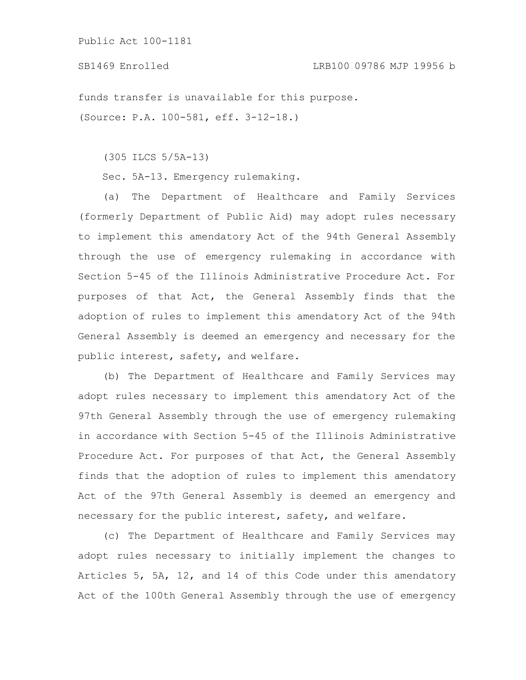funds transfer is unavailable for this purpose. (Source: P.A. 100-581, eff. 3-12-18.)

(305 ILCS 5/5A-13)

Sec. 5A-13. Emergency rulemaking.

(a) The Department of Healthcare and Family Services (formerly Department of Public Aid) may adopt rules necessary to implement this amendatory Act of the 94th General Assembly through the use of emergency rulemaking in accordance with Section 5-45 of the Illinois Administrative Procedure Act. For purposes of that Act, the General Assembly finds that the adoption of rules to implement this amendatory Act of the 94th General Assembly is deemed an emergency and necessary for the public interest, safety, and welfare.

(b) The Department of Healthcare and Family Services may adopt rules necessary to implement this amendatory Act of the 97th General Assembly through the use of emergency rulemaking in accordance with Section 5-45 of the Illinois Administrative Procedure Act. For purposes of that Act, the General Assembly finds that the adoption of rules to implement this amendatory Act of the 97th General Assembly is deemed an emergency and necessary for the public interest, safety, and welfare.

(c) The Department of Healthcare and Family Services may adopt rules necessary to initially implement the changes to Articles 5, 5A, 12, and 14 of this Code under this amendatory Act of the 100th General Assembly through the use of emergency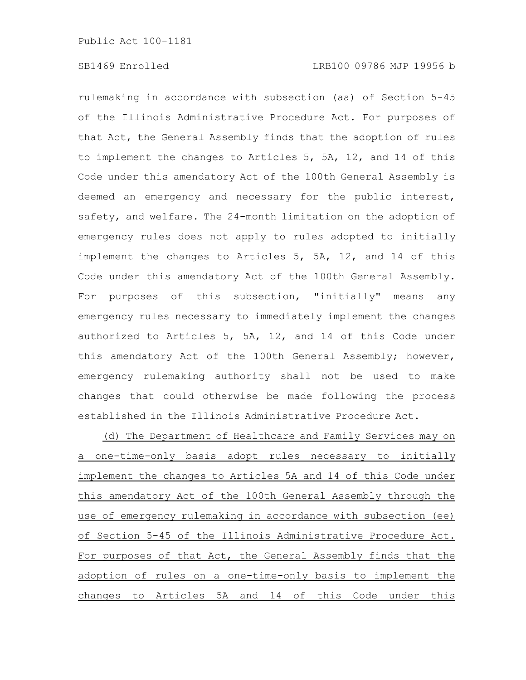rulemaking in accordance with subsection (aa) of Section 5-45 of the Illinois Administrative Procedure Act. For purposes of that Act, the General Assembly finds that the adoption of rules to implement the changes to Articles 5, 5A, 12, and 14 of this Code under this amendatory Act of the 100th General Assembly is deemed an emergency and necessary for the public interest, safety, and welfare. The 24-month limitation on the adoption of emergency rules does not apply to rules adopted to initially implement the changes to Articles 5, 5A, 12, and 14 of this Code under this amendatory Act of the 100th General Assembly. For purposes of this subsection, "initially" means any emergency rules necessary to immediately implement the changes authorized to Articles 5, 5A, 12, and 14 of this Code under this amendatory Act of the 100th General Assembly; however, emergency rulemaking authority shall not be used to make changes that could otherwise be made following the process established in the Illinois Administrative Procedure Act.

(d) The Department of Healthcare and Family Services may on a one-time-only basis adopt rules necessary to initially implement the changes to Articles 5A and 14 of this Code under this amendatory Act of the 100th General Assembly through the use of emergency rulemaking in accordance with subsection (ee) of Section 5-45 of the Illinois Administrative Procedure Act. For purposes of that Act, the General Assembly finds that the adoption of rules on a one-time-only basis to implement the changes to Articles 5A and 14 of this Code under this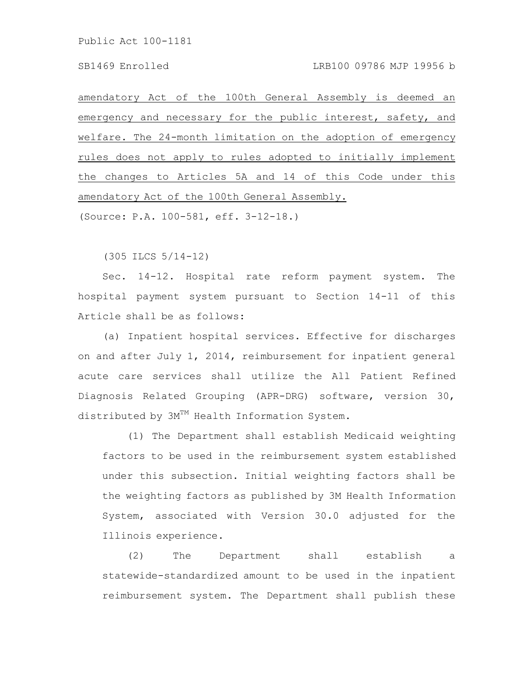amendatory Act of the 100th General Assembly is deemed an emergency and necessary for the public interest, safety, and welfare. The 24-month limitation on the adoption of emergency rules does not apply to rules adopted to initially implement the changes to Articles 5A and 14 of this Code under this amendatory Act of the 100th General Assembly.

(Source: P.A. 100-581, eff. 3-12-18.)

(305 ILCS 5/14-12)

Sec. 14-12. Hospital rate reform payment system. The hospital payment system pursuant to Section 14-11 of this Article shall be as follows:

(a) Inpatient hospital services. Effective for discharges on and after July 1, 2014, reimbursement for inpatient general acute care services shall utilize the All Patient Refined Diagnosis Related Grouping (APR-DRG) software, version 30, distributed by  $3M<sup>TM</sup>$  Health Information System.

(1) The Department shall establish Medicaid weighting factors to be used in the reimbursement system established under this subsection. Initial weighting factors shall be the weighting factors as published by 3M Health Information System, associated with Version 30.0 adjusted for the Illinois experience.

(2) The Department shall establish a statewide-standardized amount to be used in the inpatient reimbursement system. The Department shall publish these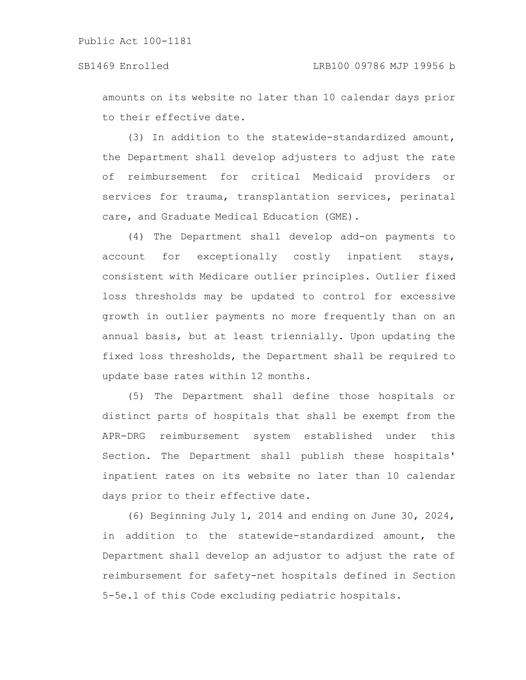amounts on its website no later than 10 calendar days prior to their effective date.

(3) In addition to the statewide-standardized amount, the Department shall develop adjusters to adjust the rate of reimbursement for critical Medicaid providers or services for trauma, transplantation services, perinatal care, and Graduate Medical Education (GME).

(4) The Department shall develop add-on payments to account for exceptionally costly inpatient stays, consistent with Medicare outlier principles. Outlier fixed loss thresholds may be updated to control for excessive growth in outlier payments no more frequently than on an annual basis, but at least triennially. Upon updating the fixed loss thresholds, the Department shall be required to update base rates within 12 months.

(5) The Department shall define those hospitals or distinct parts of hospitals that shall be exempt from the APR-DRG reimbursement system established under this Section. The Department shall publish these hospitals' inpatient rates on its website no later than 10 calendar days prior to their effective date.

(6) Beginning July 1, 2014 and ending on June 30, 2024, in addition to the statewide-standardized amount, the Department shall develop an adjustor to adjust the rate of reimbursement for safety-net hospitals defined in Section 5-5e.1 of this Code excluding pediatric hospitals.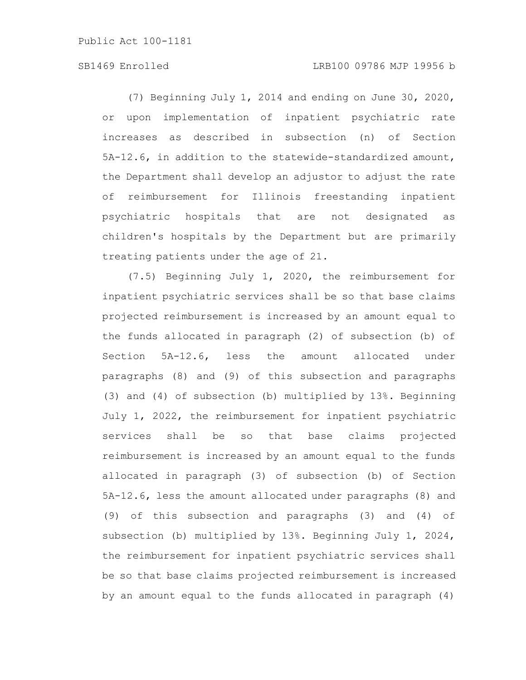(7) Beginning July 1, 2014 and ending on June 30, 2020, or upon implementation of inpatient psychiatric rate increases as described in subsection (n) of Section 5A-12.6, in addition to the statewide-standardized amount, the Department shall develop an adjustor to adjust the rate of reimbursement for Illinois freestanding inpatient psychiatric hospitals that are not designated as children's hospitals by the Department but are primarily treating patients under the age of 21.

(7.5) Beginning July 1, 2020, the reimbursement for inpatient psychiatric services shall be so that base claims projected reimbursement is increased by an amount equal to the funds allocated in paragraph (2) of subsection (b) of Section 5A-12.6, less the amount allocated under paragraphs (8) and (9) of this subsection and paragraphs (3) and (4) of subsection (b) multiplied by 13%. Beginning July 1, 2022, the reimbursement for inpatient psychiatric services shall be so that base claims projected reimbursement is increased by an amount equal to the funds allocated in paragraph (3) of subsection (b) of Section 5A-12.6, less the amount allocated under paragraphs (8) and (9) of this subsection and paragraphs (3) and (4) of subsection (b) multiplied by 13%. Beginning July 1, 2024, the reimbursement for inpatient psychiatric services shall be so that base claims projected reimbursement is increased by an amount equal to the funds allocated in paragraph (4)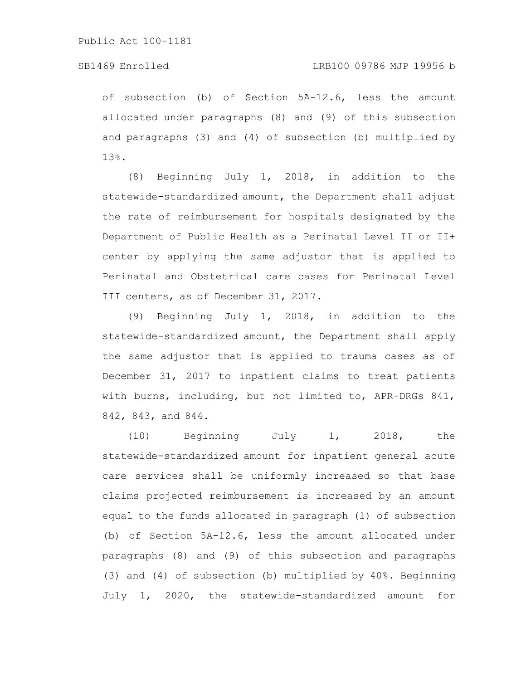of subsection (b) of Section 5A-12.6, less the amount allocated under paragraphs (8) and (9) of this subsection and paragraphs (3) and (4) of subsection (b) multiplied by 13%.

(8) Beginning July 1, 2018, in addition to the statewide-standardized amount, the Department shall adjust the rate of reimbursement for hospitals designated by the Department of Public Health as a Perinatal Level II or II+ center by applying the same adjustor that is applied to Perinatal and Obstetrical care cases for Perinatal Level III centers, as of December 31, 2017.

(9) Beginning July 1, 2018, in addition to the statewide-standardized amount, the Department shall apply the same adjustor that is applied to trauma cases as of December 31, 2017 to inpatient claims to treat patients with burns, including, but not limited to, APR-DRGs 841, 842, 843, and 844.

(10) Beginning July 1, 2018, the statewide-standardized amount for inpatient general acute care services shall be uniformly increased so that base claims projected reimbursement is increased by an amount equal to the funds allocated in paragraph (1) of subsection (b) of Section 5A-12.6, less the amount allocated under paragraphs (8) and (9) of this subsection and paragraphs (3) and (4) of subsection (b) multiplied by 40%. Beginning July 1, 2020, the statewide-standardized amount for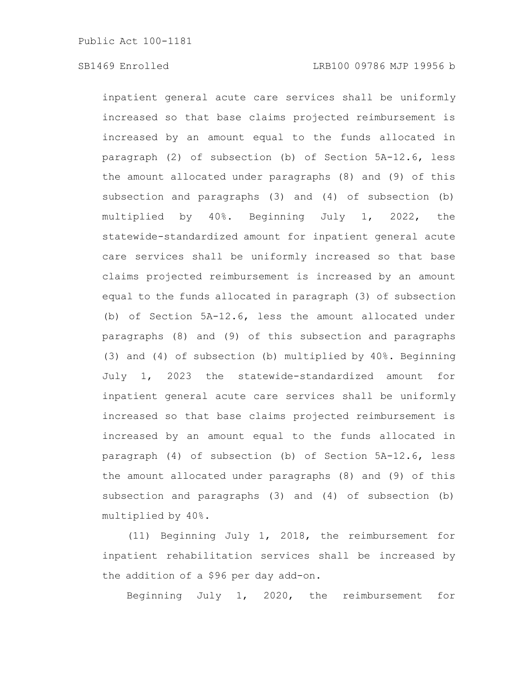inpatient general acute care services shall be uniformly increased so that base claims projected reimbursement is increased by an amount equal to the funds allocated in paragraph (2) of subsection (b) of Section 5A-12.6, less the amount allocated under paragraphs (8) and (9) of this subsection and paragraphs (3) and (4) of subsection (b) multiplied by 40%. Beginning July 1, 2022, the statewide-standardized amount for inpatient general acute care services shall be uniformly increased so that base claims projected reimbursement is increased by an amount equal to the funds allocated in paragraph (3) of subsection (b) of Section 5A-12.6, less the amount allocated under paragraphs (8) and (9) of this subsection and paragraphs (3) and (4) of subsection (b) multiplied by 40%. Beginning July 1, 2023 the statewide-standardized amount for inpatient general acute care services shall be uniformly increased so that base claims projected reimbursement is increased by an amount equal to the funds allocated in paragraph (4) of subsection (b) of Section 5A-12.6, less the amount allocated under paragraphs (8) and (9) of this subsection and paragraphs (3) and (4) of subsection (b) multiplied by 40%.

(11) Beginning July 1, 2018, the reimbursement for inpatient rehabilitation services shall be increased by the addition of a \$96 per day add-on.

Beginning July 1, 2020, the reimbursement for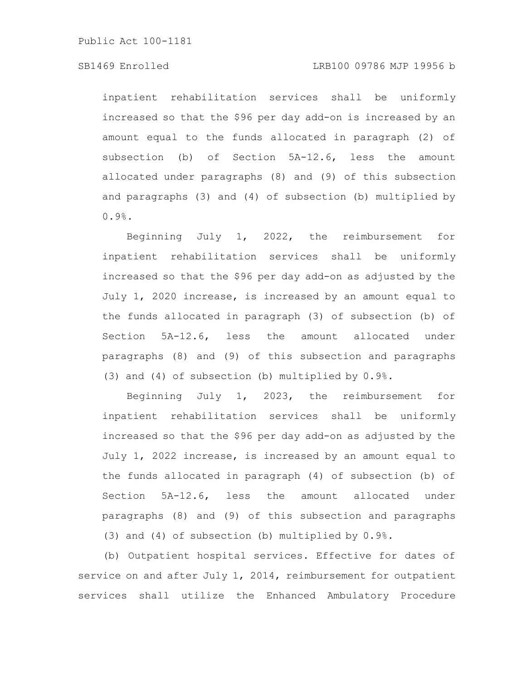inpatient rehabilitation services shall be uniformly increased so that the \$96 per day add-on is increased by an amount equal to the funds allocated in paragraph (2) of subsection (b) of Section 5A-12.6, less the amount allocated under paragraphs (8) and (9) of this subsection and paragraphs (3) and (4) of subsection (b) multiplied by 0.9%.

Beginning July 1, 2022, the reimbursement for inpatient rehabilitation services shall be uniformly increased so that the \$96 per day add-on as adjusted by the July 1, 2020 increase, is increased by an amount equal to the funds allocated in paragraph (3) of subsection (b) of Section 5A-12.6, less the amount allocated under paragraphs (8) and (9) of this subsection and paragraphs (3) and (4) of subsection (b) multiplied by 0.9%.

Beginning July 1, 2023, the reimbursement for inpatient rehabilitation services shall be uniformly increased so that the \$96 per day add-on as adjusted by the July 1, 2022 increase, is increased by an amount equal to the funds allocated in paragraph (4) of subsection (b) of Section 5A-12.6, less the amount allocated under paragraphs (8) and (9) of this subsection and paragraphs (3) and (4) of subsection (b) multiplied by 0.9%.

(b) Outpatient hospital services. Effective for dates of service on and after July 1, 2014, reimbursement for outpatient services shall utilize the Enhanced Ambulatory Procedure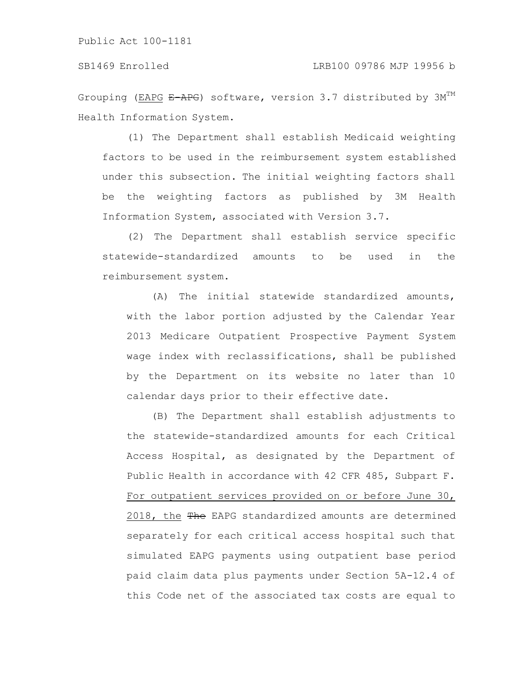Grouping (EAPG  $E-$ APG) software, version 3.7 distributed by  $3M<sup>TM</sup>$ Health Information System.

(1) The Department shall establish Medicaid weighting factors to be used in the reimbursement system established under this subsection. The initial weighting factors shall be the weighting factors as published by 3M Health Information System, associated with Version 3.7.

(2) The Department shall establish service specific statewide-standardized amounts to be used in the reimbursement system.

(A) The initial statewide standardized amounts, with the labor portion adjusted by the Calendar Year 2013 Medicare Outpatient Prospective Payment System wage index with reclassifications, shall be published by the Department on its website no later than 10 calendar days prior to their effective date.

(B) The Department shall establish adjustments to the statewide-standardized amounts for each Critical Access Hospital, as designated by the Department of Public Health in accordance with 42 CFR 485, Subpart F. For outpatient services provided on or before June 30, 2018, the The EAPG standardized amounts are determined separately for each critical access hospital such that simulated EAPG payments using outpatient base period paid claim data plus payments under Section 5A-12.4 of this Code net of the associated tax costs are equal to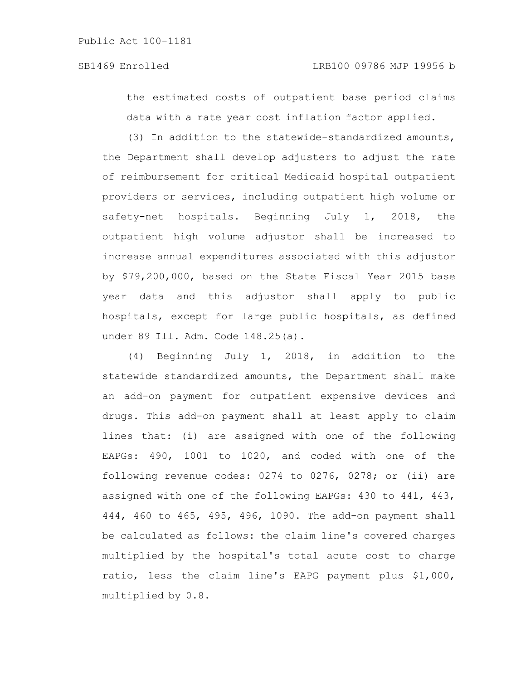the estimated costs of outpatient base period claims data with a rate year cost inflation factor applied.

(3) In addition to the statewide-standardized amounts, the Department shall develop adjusters to adjust the rate of reimbursement for critical Medicaid hospital outpatient providers or services, including outpatient high volume or safety-net hospitals. Beginning July 1, 2018, the outpatient high volume adjustor shall be increased to increase annual expenditures associated with this adjustor by \$79,200,000, based on the State Fiscal Year 2015 base year data and this adjustor shall apply to public hospitals, except for large public hospitals, as defined under 89 Ill. Adm. Code 148.25(a).

(4) Beginning July 1, 2018, in addition to the statewide standardized amounts, the Department shall make an add-on payment for outpatient expensive devices and drugs. This add-on payment shall at least apply to claim lines that: (i) are assigned with one of the following EAPGs: 490, 1001 to 1020, and coded with one of the following revenue codes: 0274 to 0276, 0278; or (ii) are assigned with one of the following EAPGs: 430 to 441, 443, 444, 460 to 465, 495, 496, 1090. The add-on payment shall be calculated as follows: the claim line's covered charges multiplied by the hospital's total acute cost to charge ratio, less the claim line's EAPG payment plus \$1,000, multiplied by 0.8.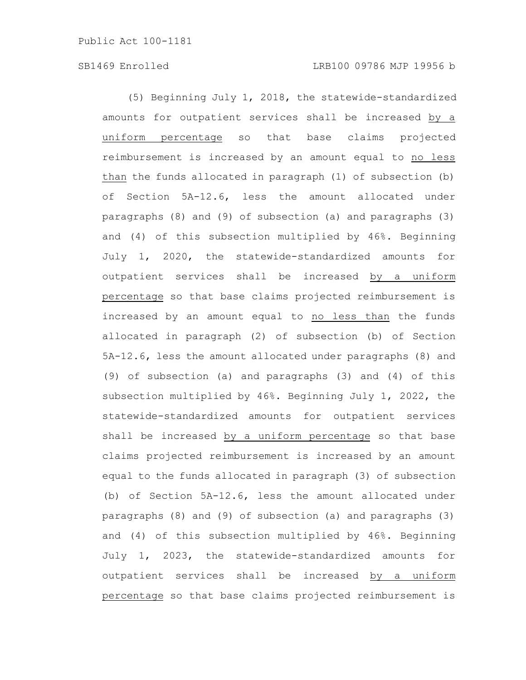(5) Beginning July 1, 2018, the statewide-standardized amounts for outpatient services shall be increased by a uniform percentage so that base claims projected reimbursement is increased by an amount equal to no less than the funds allocated in paragraph (1) of subsection (b) of Section 5A-12.6, less the amount allocated under paragraphs (8) and (9) of subsection (a) and paragraphs (3) and (4) of this subsection multiplied by 46%. Beginning July 1, 2020, the statewide-standardized amounts for outpatient services shall be increased by a uniform percentage so that base claims projected reimbursement is increased by an amount equal to no less than the funds allocated in paragraph (2) of subsection (b) of Section 5A-12.6, less the amount allocated under paragraphs (8) and (9) of subsection (a) and paragraphs (3) and (4) of this subsection multiplied by 46%. Beginning July 1, 2022, the statewide-standardized amounts for outpatient services shall be increased by a uniform percentage so that base claims projected reimbursement is increased by an amount equal to the funds allocated in paragraph (3) of subsection (b) of Section 5A-12.6, less the amount allocated under paragraphs (8) and (9) of subsection (a) and paragraphs (3) and (4) of this subsection multiplied by 46%. Beginning July 1, 2023, the statewide-standardized amounts for outpatient services shall be increased by a uniform percentage so that base claims projected reimbursement is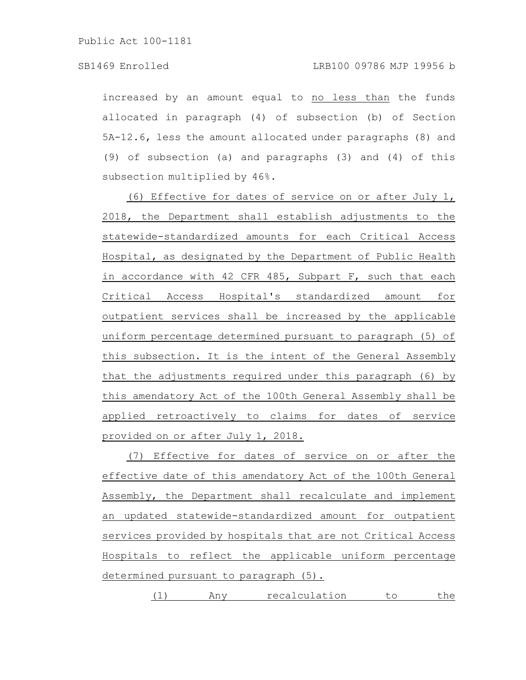increased by an amount equal to no less than the funds allocated in paragraph (4) of subsection (b) of Section 5A-12.6, less the amount allocated under paragraphs (8) and (9) of subsection (a) and paragraphs (3) and (4) of this subsection multiplied by 46%.

(6) Effective for dates of service on or after July 1, 2018, the Department shall establish adjustments to the statewide-standardized amounts for each Critical Access Hospital, as designated by the Department of Public Health in accordance with 42 CFR 485, Subpart F, such that each Critical Access Hospital's standardized amount for outpatient services shall be increased by the applicable uniform percentage determined pursuant to paragraph (5) of this subsection. It is the intent of the General Assembly that the adjustments required under this paragraph (6) by this amendatory Act of the 100th General Assembly shall be applied retroactively to claims for dates of service provided on or after July 1, 2018.

(7) Effective for dates of service on or after the effective date of this amendatory Act of the 100th General Assembly, the Department shall recalculate and implement an updated statewide-standardized amount for outpatient services provided by hospitals that are not Critical Access Hospitals to reflect the applicable uniform percentage determined pursuant to paragraph (5).

(1) Any recalculation to the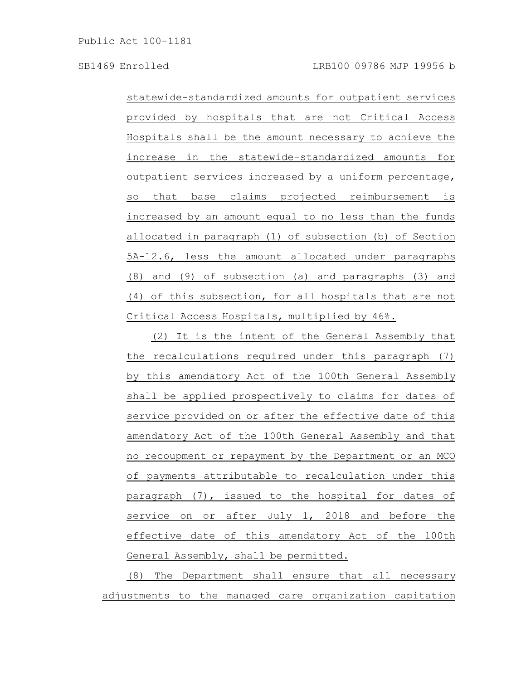statewide-standardized amounts for outpatient services provided by hospitals that are not Critical Access Hospitals shall be the amount necessary to achieve the increase in the statewide-standardized amounts for outpatient services increased by a uniform percentage, so that base claims projected reimbursement is increased by an amount equal to no less than the funds allocated in paragraph (1) of subsection (b) of Section 5A-12.6, less the amount allocated under paragraphs (8) and (9) of subsection (a) and paragraphs (3) and (4) of this subsection, for all hospitals that are not Critical Access Hospitals, multiplied by 46%.

(2) It is the intent of the General Assembly that the recalculations required under this paragraph (7) by this amendatory Act of the 100th General Assembly shall be applied prospectively to claims for dates of service provided on or after the effective date of this amendatory Act of the 100th General Assembly and that no recoupment or repayment by the Department or an MCO of payments attributable to recalculation under this paragraph (7), issued to the hospital for dates of service on or after July 1, 2018 and before the effective date of this amendatory Act of the 100th General Assembly, shall be permitted.

(8) The Department shall ensure that all necessary adjustments to the managed care organization capitation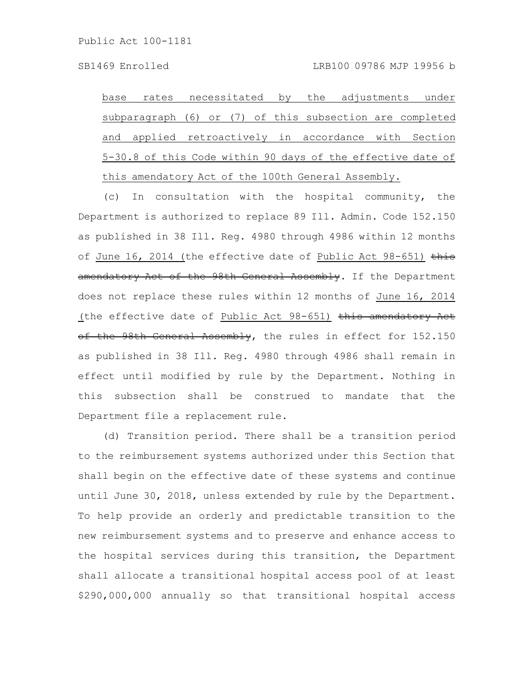base rates necessitated by the adjustments under subparagraph (6) or (7) of this subsection are completed and applied retroactively in accordance with Section 5-30.8 of this Code within 90 days of the effective date of this amendatory Act of the 100th General Assembly.

(c) In consultation with the hospital community, the Department is authorized to replace 89 Ill. Admin. Code 152.150 as published in 38 Ill. Reg. 4980 through 4986 within 12 months of June 16, 2014 (the effective date of Public Act  $98-651$ ) this amendatory Act of the 98th General Assembly. If the Department does not replace these rules within 12 months of June 16, 2014 (the effective date of Public Act 98-651) this amendatory Act of the 98th General Assembly, the rules in effect for 152.150 as published in 38 Ill. Reg. 4980 through 4986 shall remain in effect until modified by rule by the Department. Nothing in this subsection shall be construed to mandate that the Department file a replacement rule.

(d) Transition period. There shall be a transition period to the reimbursement systems authorized under this Section that shall begin on the effective date of these systems and continue until June 30, 2018, unless extended by rule by the Department. To help provide an orderly and predictable transition to the new reimbursement systems and to preserve and enhance access to the hospital services during this transition, the Department shall allocate a transitional hospital access pool of at least \$290,000,000 annually so that transitional hospital access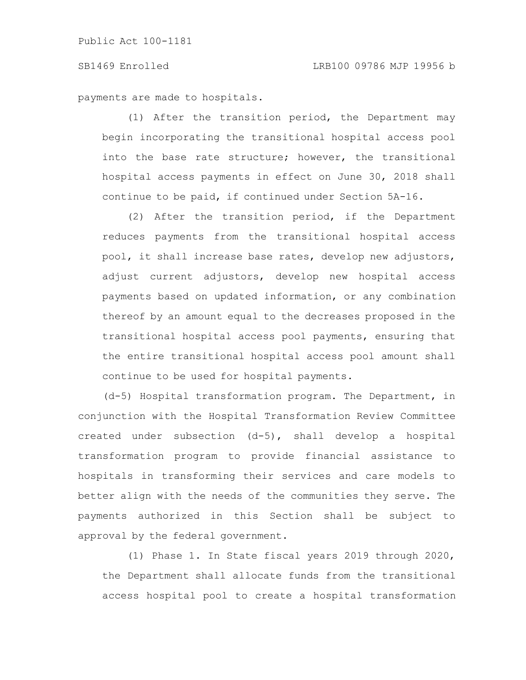payments are made to hospitals.

(1) After the transition period, the Department may begin incorporating the transitional hospital access pool into the base rate structure; however, the transitional hospital access payments in effect on June 30, 2018 shall continue to be paid, if continued under Section 5A-16.

(2) After the transition period, if the Department reduces payments from the transitional hospital access pool, it shall increase base rates, develop new adjustors, adjust current adjustors, develop new hospital access payments based on updated information, or any combination thereof by an amount equal to the decreases proposed in the transitional hospital access pool payments, ensuring that the entire transitional hospital access pool amount shall continue to be used for hospital payments.

(d-5) Hospital transformation program. The Department, in conjunction with the Hospital Transformation Review Committee created under subsection (d-5), shall develop a hospital transformation program to provide financial assistance to hospitals in transforming their services and care models to better align with the needs of the communities they serve. The payments authorized in this Section shall be subject to approval by the federal government.

(1) Phase 1. In State fiscal years 2019 through 2020, the Department shall allocate funds from the transitional access hospital pool to create a hospital transformation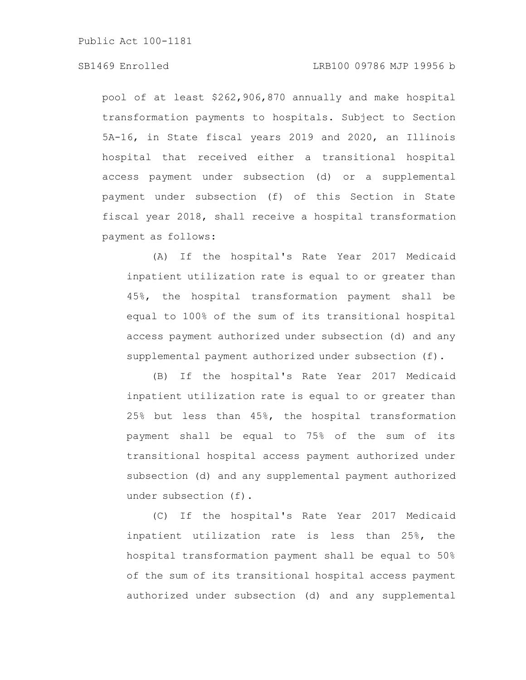# SB1469 Enrolled LRB100 09786 MJP 19956 b

pool of at least \$262,906,870 annually and make hospital transformation payments to hospitals. Subject to Section 5A-16, in State fiscal years 2019 and 2020, an Illinois hospital that received either a transitional hospital access payment under subsection (d) or a supplemental payment under subsection (f) of this Section in State fiscal year 2018, shall receive a hospital transformation payment as follows:

(A) If the hospital's Rate Year 2017 Medicaid inpatient utilization rate is equal to or greater than 45%, the hospital transformation payment shall be equal to 100% of the sum of its transitional hospital access payment authorized under subsection (d) and any supplemental payment authorized under subsection (f).

(B) If the hospital's Rate Year 2017 Medicaid inpatient utilization rate is equal to or greater than 25% but less than 45%, the hospital transformation payment shall be equal to 75% of the sum of its transitional hospital access payment authorized under subsection (d) and any supplemental payment authorized under subsection (f).

(C) If the hospital's Rate Year 2017 Medicaid inpatient utilization rate is less than 25%, the hospital transformation payment shall be equal to 50% of the sum of its transitional hospital access payment authorized under subsection (d) and any supplemental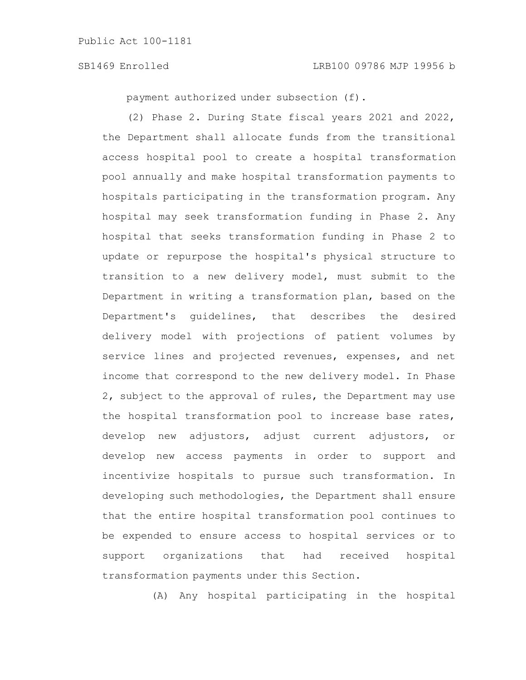payment authorized under subsection (f).

(2) Phase 2. During State fiscal years 2021 and 2022, the Department shall allocate funds from the transitional access hospital pool to create a hospital transformation pool annually and make hospital transformation payments to hospitals participating in the transformation program. Any hospital may seek transformation funding in Phase 2. Any hospital that seeks transformation funding in Phase 2 to update or repurpose the hospital's physical structure to transition to a new delivery model, must submit to the Department in writing a transformation plan, based on the Department's guidelines, that describes the desired delivery model with projections of patient volumes by service lines and projected revenues, expenses, and net income that correspond to the new delivery model. In Phase 2, subject to the approval of rules, the Department may use the hospital transformation pool to increase base rates, develop new adjustors, adjust current adjustors, or develop new access payments in order to support and incentivize hospitals to pursue such transformation. In developing such methodologies, the Department shall ensure that the entire hospital transformation pool continues to be expended to ensure access to hospital services or to support organizations that had received hospital transformation payments under this Section.

(A) Any hospital participating in the hospital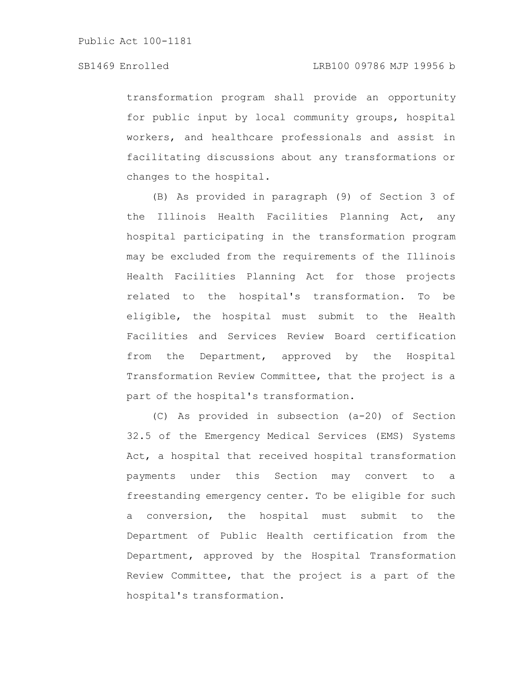transformation program shall provide an opportunity for public input by local community groups, hospital workers, and healthcare professionals and assist in facilitating discussions about any transformations or changes to the hospital.

(B) As provided in paragraph (9) of Section 3 of the Illinois Health Facilities Planning Act, any hospital participating in the transformation program may be excluded from the requirements of the Illinois Health Facilities Planning Act for those projects related to the hospital's transformation. To be eligible, the hospital must submit to the Health Facilities and Services Review Board certification from the Department, approved by the Hospital Transformation Review Committee, that the project is a part of the hospital's transformation.

(C) As provided in subsection (a-20) of Section 32.5 of the Emergency Medical Services (EMS) Systems Act, a hospital that received hospital transformation payments under this Section may convert to a freestanding emergency center. To be eligible for such a conversion, the hospital must submit to the Department of Public Health certification from the Department, approved by the Hospital Transformation Review Committee, that the project is a part of the hospital's transformation.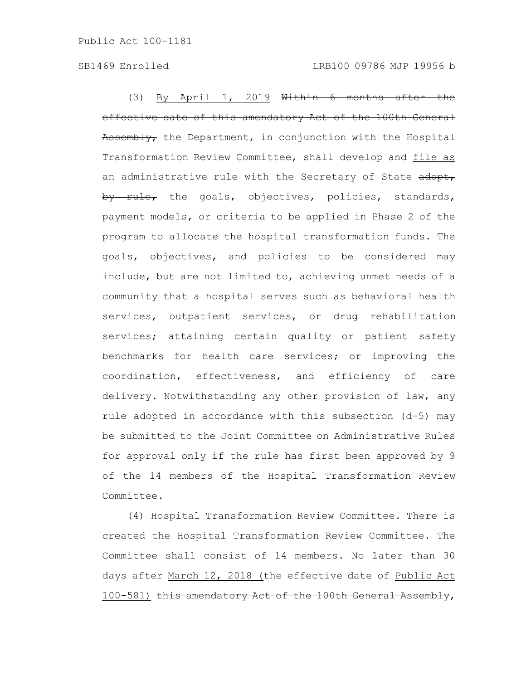(3) By April 1, 2019 Within 6 months after the effective date of this amendatory Act of the 100th General Assembly, the Department, in conjunction with the Hospital Transformation Review Committee, shall develop and file as an administrative rule with the Secretary of State adopt, by rule, the goals, objectives, policies, standards, payment models, or criteria to be applied in Phase 2 of the program to allocate the hospital transformation funds. The goals, objectives, and policies to be considered may include, but are not limited to, achieving unmet needs of a community that a hospital serves such as behavioral health services, outpatient services, or drug rehabilitation services; attaining certain quality or patient safety benchmarks for health care services; or improving the coordination, effectiveness, and efficiency of care delivery. Notwithstanding any other provision of law, any rule adopted in accordance with this subsection (d-5) may be submitted to the Joint Committee on Administrative Rules for approval only if the rule has first been approved by 9 of the 14 members of the Hospital Transformation Review Committee.

(4) Hospital Transformation Review Committee. There is created the Hospital Transformation Review Committee. The Committee shall consist of 14 members. No later than 30 days after March 12, 2018 (the effective date of Public Act 100-581) this amendatory Act of the 100th General Assembly,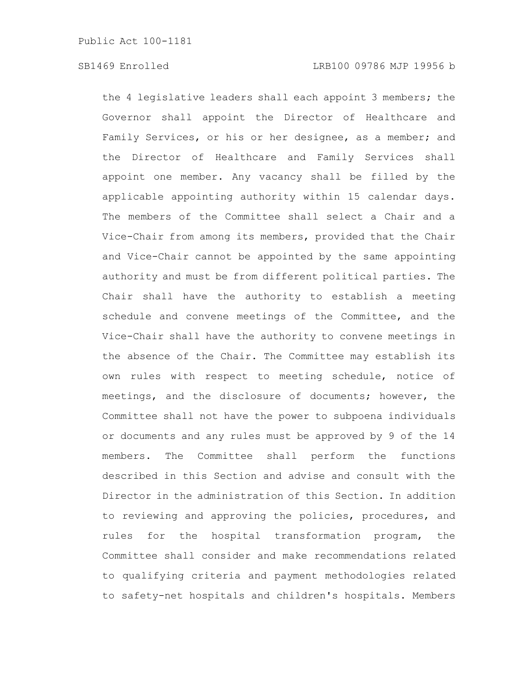the 4 legislative leaders shall each appoint 3 members; the Governor shall appoint the Director of Healthcare and Family Services, or his or her designee, as a member; and the Director of Healthcare and Family Services shall appoint one member. Any vacancy shall be filled by the applicable appointing authority within 15 calendar days. The members of the Committee shall select a Chair and a Vice-Chair from among its members, provided that the Chair and Vice-Chair cannot be appointed by the same appointing authority and must be from different political parties. The Chair shall have the authority to establish a meeting schedule and convene meetings of the Committee, and the Vice-Chair shall have the authority to convene meetings in the absence of the Chair. The Committee may establish its own rules with respect to meeting schedule, notice of meetings, and the disclosure of documents; however, the Committee shall not have the power to subpoena individuals or documents and any rules must be approved by 9 of the 14 members. The Committee shall perform the functions described in this Section and advise and consult with the Director in the administration of this Section. In addition to reviewing and approving the policies, procedures, and rules for the hospital transformation program, the Committee shall consider and make recommendations related to qualifying criteria and payment methodologies related to safety-net hospitals and children's hospitals. Members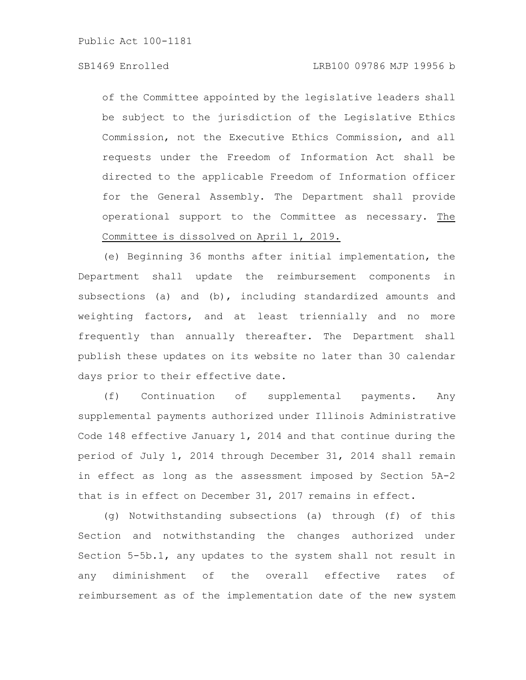of the Committee appointed by the legislative leaders shall be subject to the jurisdiction of the Legislative Ethics Commission, not the Executive Ethics Commission, and all requests under the Freedom of Information Act shall be directed to the applicable Freedom of Information officer for the General Assembly. The Department shall provide operational support to the Committee as necessary. The Committee is dissolved on April 1, 2019.

(e) Beginning 36 months after initial implementation, the Department shall update the reimbursement components in subsections (a) and (b), including standardized amounts and weighting factors, and at least triennially and no more frequently than annually thereafter. The Department shall publish these updates on its website no later than 30 calendar days prior to their effective date.

(f) Continuation of supplemental payments. Any supplemental payments authorized under Illinois Administrative Code 148 effective January 1, 2014 and that continue during the period of July 1, 2014 through December 31, 2014 shall remain in effect as long as the assessment imposed by Section 5A-2 that is in effect on December 31, 2017 remains in effect.

(g) Notwithstanding subsections (a) through (f) of this Section and notwithstanding the changes authorized under Section 5-5b.1, any updates to the system shall not result in any diminishment of the overall effective rates of reimbursement as of the implementation date of the new system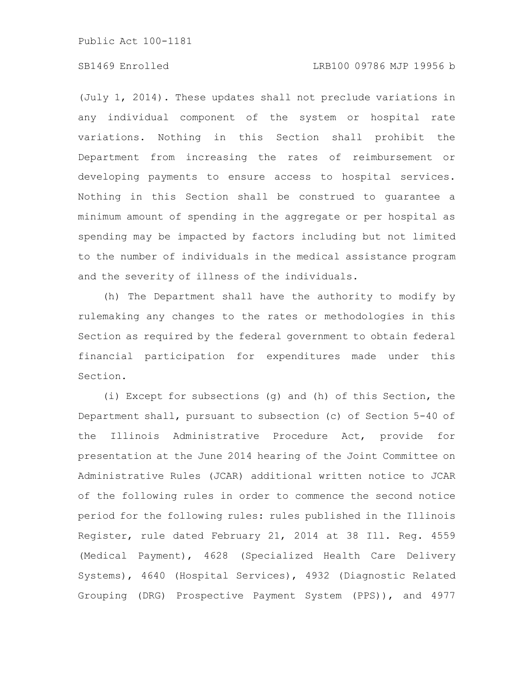# SB1469 Enrolled LRB100 09786 MJP 19956 b

(July 1, 2014). These updates shall not preclude variations in any individual component of the system or hospital rate variations. Nothing in this Section shall prohibit the Department from increasing the rates of reimbursement or developing payments to ensure access to hospital services. Nothing in this Section shall be construed to guarantee a minimum amount of spending in the aggregate or per hospital as spending may be impacted by factors including but not limited to the number of individuals in the medical assistance program and the severity of illness of the individuals.

(h) The Department shall have the authority to modify by rulemaking any changes to the rates or methodologies in this Section as required by the federal government to obtain federal financial participation for expenditures made under this Section.

(i) Except for subsections (g) and (h) of this Section, the Department shall, pursuant to subsection (c) of Section 5-40 of the Illinois Administrative Procedure Act, provide for presentation at the June 2014 hearing of the Joint Committee on Administrative Rules (JCAR) additional written notice to JCAR of the following rules in order to commence the second notice period for the following rules: rules published in the Illinois Register, rule dated February 21, 2014 at 38 Ill. Reg. 4559 (Medical Payment), 4628 (Specialized Health Care Delivery Systems), 4640 (Hospital Services), 4932 (Diagnostic Related Grouping (DRG) Prospective Payment System (PPS)), and 4977